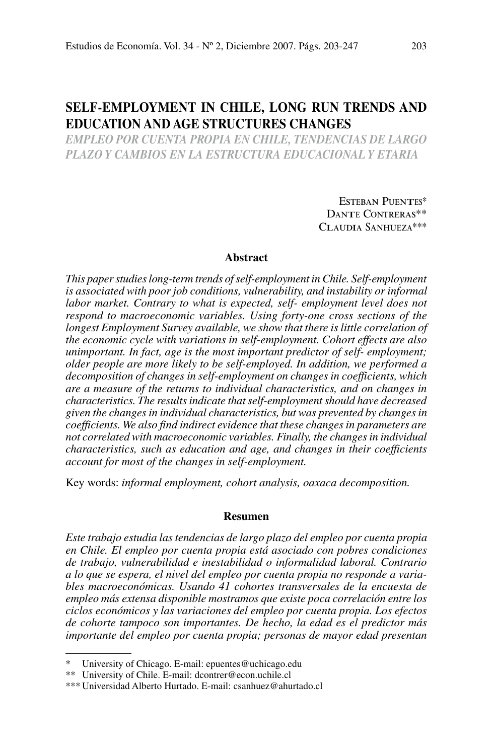# **Self-Employment in Chile, Long Run Trends and Education and Age Structures Changes**

*empleo por cuenta propia en chile, tendencias de largo plazo y cambios en la estructura educacional y etaria*

> Esteban Puentes\* Dante Contreras\*\* Claudia Sanhueza\*\*\*

# **Abstract**

*This paper studies long-term trends of self-employment in Chile. Self-employment is associated with poor job conditions, vulnerability, and instability or informal labor market. Contrary to what is expected, self- employment level does not respond to macroeconomic variables. Using forty-one cross sections of the longest Employment Survey available, we show that there is little correlation of the economic cycle with variations in self-employment. Cohort effects are also unimportant. In fact, age is the most important predictor of self- employment; older people are more likely to be self-employed. In addition, we performed a decomposition of changes in self-employment on changes in coefficients, which are a measure of the returns to individual characteristics, and on changes in characteristics. The results indicate that self-employment should have decreased given the changes in individual characteristics, but was prevented by changes in coefficients. We also find indirect evidence that these changes in parameters are not correlated with macroeconomic variables. Finally, the changes in individual characteristics, such as education and age, and changes in their coefficients account for most of the changes in self-employment.*

Key words: *informal employment, cohort analysis, oaxaca decomposition.*

#### **Resumen**

*Este trabajo estudia las tendencias de largo plazo del empleo por cuenta propia en Chile. El empleo por cuenta propia está asociado con pobres condiciones de trabajo, vulnerabilidad e inestabilidad o informalidad laboral. Contrario a lo que se espera, el nivel del empleo por cuenta propia no responde a variables macroeconómicas. Usando 41 cohortes transversales de la encuesta de empleo más extensa disponible mostramos que existe poca correlación entre los ciclos económicos y las variaciones del empleo por cuenta propia. Los efectos de cohorte tampoco son importantes. De hecho, la edad es el predictor más importante del empleo por cuenta propia; personas de mayor edad presentan* 

University of Chicago. E-mail: epuentes@uchicago.edu

<sup>\*\*</sup> University of Chile. E-mail: dcontrer@econ.uchile.cl

<sup>\*\*\*</sup> Universidad Alberto Hurtado. E-mail: csanhuez@ahurtado.cl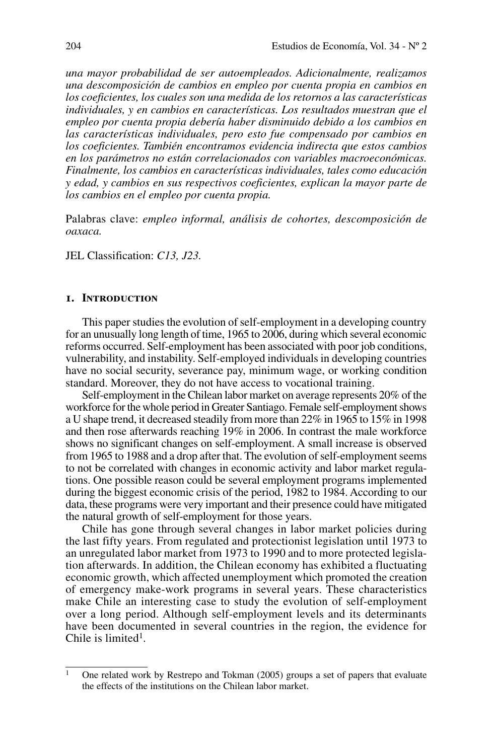*una mayor probabilidad de ser autoempleados. Adicionalmente, realizamos una descomposición de cambios en empleo por cuenta propia en cambios en los coeficientes, los cuales son una medida de los retornos a las características individuales, y en cambios en características. Los resultados muestran que el empleo por cuenta propia debería haber disminuido debido a los cambios en las características individuales, pero esto fue compensado por cambios en los coeficientes. También encontramos evidencia indirecta que estos cambios en los parámetros no están correlacionados con variables macroeconómicas. Finalmente, los cambios en características individuales, tales como educación y edad, y cambios en sus respectivos coeficientes, explican la mayor parte de los cambios en el empleo por cuenta propia.*

Palabras clave: *empleo informal, análisis de cohortes, descomposición de oaxaca.*

JEL Classification: *C13, J23.*

## **1. Introduction**

This paper studies the evolution of self-employment in a developing country for an unusually long length of time, 1965 to 2006, during which several economic reforms occurred. Self-employment has been associated with poor job conditions, vulnerability, and instability. Self-employed individuals in developing countries have no social security, severance pay, minimum wage, or working condition standard. Moreover, they do not have access to vocational training.

Self-employment in the Chilean labor market on average represents 20% of the workforce for the whole period in Greater Santiago. Female self-employment shows a U shape trend, it decreased steadily from more than 22% in 1965 to 15% in 1998 and then rose afterwards reaching 19% in 2006. In contrast the male workforce shows no significant changes on self-employment. A small increase is observed from 1965 to 1988 and a drop after that. The evolution of self-employment seems to not be correlated with changes in economic activity and labor market regulations. One possible reason could be several employment programs implemented during the biggest economic crisis of the period, 1982 to 1984. According to our data, these programs were very important and their presence could have mitigated the natural growth of self-employment for those years.

Chile has gone through several changes in labor market policies during the last fifty years. From regulated and protectionist legislation until 1973 to an unregulated labor market from 1973 to 1990 and to more protected legislation afterwards. In addition, the Chilean economy has exhibited a fluctuating economic growth, which affected unemployment which promoted the creation of emergency make-work programs in several years. These characteristics make Chile an interesting case to study the evolution of self-employment over a long period. Although self-employment levels and its determinants have been documented in several countries in the region, the evidence for Chile is limited<sup>1</sup>.

<sup>&</sup>lt;sup>1</sup> One related work by Restrepo and Tokman (2005) groups a set of papers that evaluate the effects of the institutions on the Chilean labor market.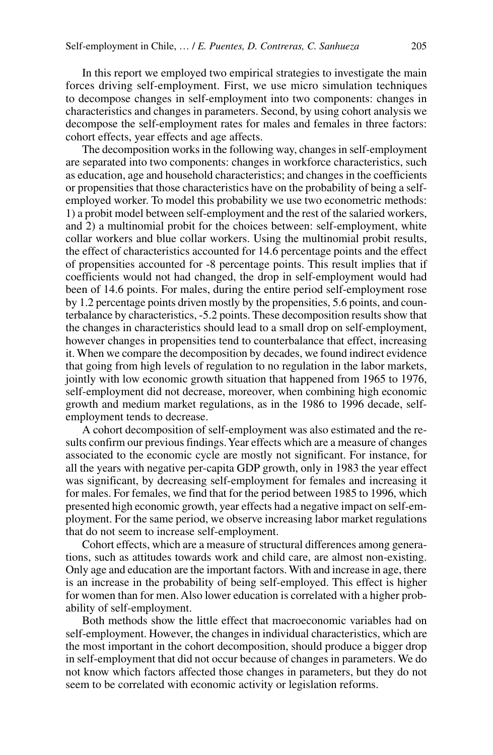In this report we employed two empirical strategies to investigate the main forces driving self-employment. First, we use micro simulation techniques to decompose changes in self-employment into two components: changes in characteristics and changes in parameters. Second, by using cohort analysis we decompose the self-employment rates for males and females in three factors: cohort effects, year effects and age affects.

The decomposition works in the following way, changes in self-employment are separated into two components: changes in workforce characteristics, such as education, age and household characteristics; and changes in the coefficients or propensities that those characteristics have on the probability of being a selfemployed worker. To model this probability we use two econometric methods: 1) a probit model between self-employment and the rest of the salaried workers, and 2) a multinomial probit for the choices between: self-employment, white collar workers and blue collar workers. Using the multinomial probit results, the effect of characteristics accounted for 14.6 percentage points and the effect of propensities accounted for -8 percentage points. This result implies that if coefficients would not had changed, the drop in self-employment would had been of 14.6 points. For males, during the entire period self-employment rose by 1.2 percentage points driven mostly by the propensities, 5.6 points, and counterbalance by characteristics, -5.2 points. These decomposition results show that the changes in characteristics should lead to a small drop on self-employment, however changes in propensities tend to counterbalance that effect, increasing it. When we compare the decomposition by decades, we found indirect evidence that going from high levels of regulation to no regulation in the labor markets, jointly with low economic growth situation that happened from 1965 to 1976, self-employment did not decrease, moreover, when combining high economic growth and medium market regulations, as in the 1986 to 1996 decade, selfemployment tends to decrease.

A cohort decomposition of self-employment was also estimated and the results confirm our previous findings. Year effects which are a measure of changes associated to the economic cycle are mostly not significant. For instance, for all the years with negative per-capita GDP growth, only in 1983 the year effect was significant, by decreasing self-employment for females and increasing it for males. For females, we find that for the period between 1985 to 1996, which presented high economic growth, year effects had a negative impact on self-employment. For the same period, we observe increasing labor market regulations that do not seem to increase self-employment.

Cohort effects, which are a measure of structural differences among generations, such as attitudes towards work and child care, are almost non-existing. Only age and education are the important factors. With and increase in age, there is an increase in the probability of being self-employed. This effect is higher for women than for men. Also lower education is correlated with a higher probability of self-employment.

Both methods show the little effect that macroeconomic variables had on self-employment. However, the changes in individual characteristics, which are the most important in the cohort decomposition, should produce a bigger drop in self-employment that did not occur because of changes in parameters. We do not know which factors affected those changes in parameters, but they do not seem to be correlated with economic activity or legislation reforms.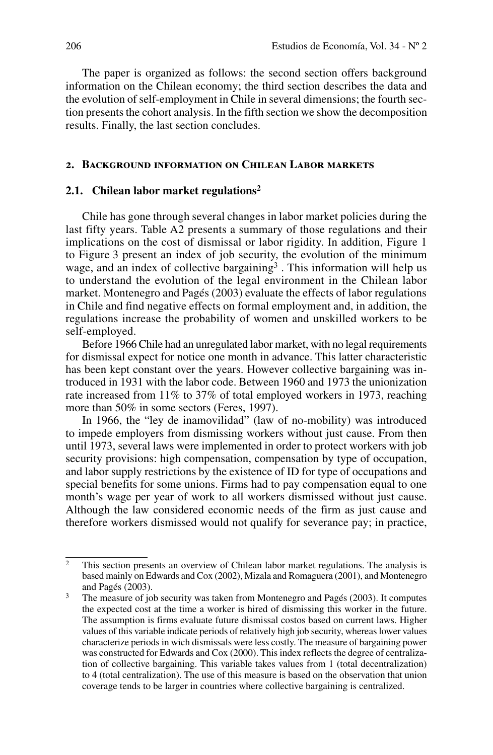The paper is organized as follows: the second section offers background information on the Chilean economy; the third section describes the data and the evolution of self-employment in Chile in several dimensions; the fourth section presents the cohort analysis. In the fifth section we show the decomposition results. Finally, the last section concludes.

# **2. Background information on Chilean Labor markets**

## **2.1. Chilean labor market regulations2**

Chile has gone through several changes in labor market policies during the last fifty years. Table A2 presents a summary of those regulations and their implications on the cost of dismissal or labor rigidity. In addition, Figure 1 to Figure 3 present an index of job security, the evolution of the minimum wage, and an index of collective bargaining<sup>3</sup>. This information will help us to understand the evolution of the legal environment in the Chilean labor market. Montenegro and Pagés (2003) evaluate the effects of labor regulations in Chile and find negative effects on formal employment and, in addition, the regulations increase the probability of women and unskilled workers to be self-employed.

Before 1966 Chile had an unregulated labor market, with no legal requirements for dismissal expect for notice one month in advance. This latter characteristic has been kept constant over the years. However collective bargaining was introduced in 1931 with the labor code. Between 1960 and 1973 the unionization rate increased from 11% to 37% of total employed workers in 1973, reaching more than 50% in some sectors (Feres, 1997).

In 1966, the "ley de inamovilidad" (law of no-mobility) was introduced to impede employers from dismissing workers without just cause. From then until 1973, several laws were implemented in order to protect workers with job security provisions: high compensation, compensation by type of occupation, and labor supply restrictions by the existence of ID for type of occupations and special benefits for some unions. Firms had to pay compensation equal to one month's wage per year of work to all workers dismissed without just cause. Although the law considered economic needs of the firm as just cause and therefore workers dismissed would not qualify for severance pay; in practice,

 $\overline{2}$  This section presents an overview of Chilean labor market regulations. The analysis is based mainly on Edwards and Cox (2002), Mizala and Romaguera (2001), and Montenegro and Pagés (2003).

<sup>3</sup> The measure of job security was taken from Montenegro and Pagés (2003). It computes the expected cost at the time a worker is hired of dismissing this worker in the future. The assumption is firms evaluate future dismissal costos based on current laws. Higher values of this variable indicate periods of relatively high job security, whereas lower values characterize periods in wich dismissals were less costly. The measure of bargaining power was constructed for Edwards and Cox (2000). This index reflects the degree of centralization of collective bargaining. This variable takes values from 1 (total decentralization) to 4 (total centralization). The use of this measure is based on the observation that union coverage tends to be larger in countries where collective bargaining is centralized.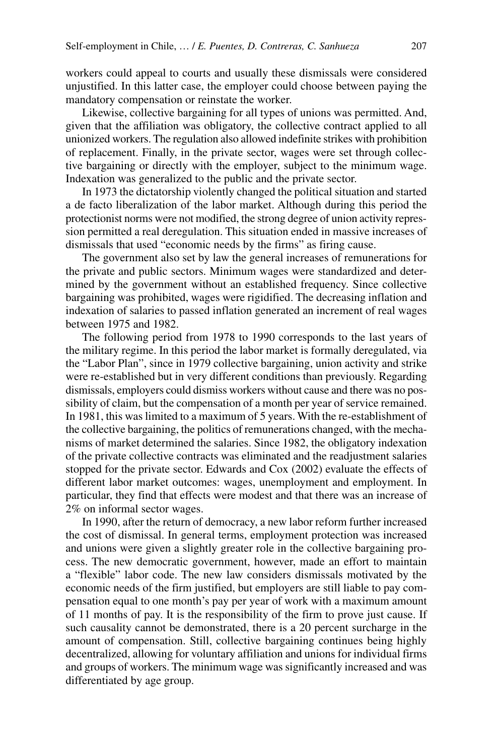workers could appeal to courts and usually these dismissals were considered unjustified. In this latter case, the employer could choose between paying the mandatory compensation or reinstate the worker.

Likewise, collective bargaining for all types of unions was permitted. And, given that the affiliation was obligatory, the collective contract applied to all unionized workers. The regulation also allowed indefinite strikes with prohibition of replacement. Finally, in the private sector, wages were set through collective bargaining or directly with the employer, subject to the minimum wage. Indexation was generalized to the public and the private sector.

In 1973 the dictatorship violently changed the political situation and started a de facto liberalization of the labor market. Although during this period the protectionist norms were not modified, the strong degree of union activity repression permitted a real deregulation. This situation ended in massive increases of dismissals that used "economic needs by the firms" as firing cause.

The government also set by law the general increases of remunerations for the private and public sectors. Minimum wages were standardized and determined by the government without an established frequency. Since collective bargaining was prohibited, wages were rigidified. The decreasing inflation and indexation of salaries to passed inflation generated an increment of real wages between 1975 and 1982.

The following period from 1978 to 1990 corresponds to the last years of the military regime. In this period the labor market is formally deregulated, via the "Labor Plan", since in 1979 collective bargaining, union activity and strike were re-established but in very different conditions than previously. Regarding dismissals, employers could dismiss workers without cause and there was no possibility of claim, but the compensation of a month per year of service remained. In 1981, this was limited to a maximum of 5 years. With the re-establishment of the collective bargaining, the politics of remunerations changed, with the mechanisms of market determined the salaries. Since 1982, the obligatory indexation of the private collective contracts was eliminated and the readjustment salaries stopped for the private sector. Edwards and Cox (2002) evaluate the effects of different labor market outcomes: wages, unemployment and employment. In particular, they find that effects were modest and that there was an increase of 2% on informal sector wages.

In 1990, after the return of democracy, a new labor reform further increased the cost of dismissal. In general terms, employment protection was increased and unions were given a slightly greater role in the collective bargaining process. The new democratic government, however, made an effort to maintain a "flexible" labor code. The new law considers dismissals motivated by the economic needs of the firm justified, but employers are still liable to pay compensation equal to one month's pay per year of work with a maximum amount of 11 months of pay. It is the responsibility of the firm to prove just cause. If such causality cannot be demonstrated, there is a 20 percent surcharge in the amount of compensation. Still, collective bargaining continues being highly decentralized, allowing for voluntary affiliation and unions for individual firms and groups of workers. The minimum wage was significantly increased and was differentiated by age group.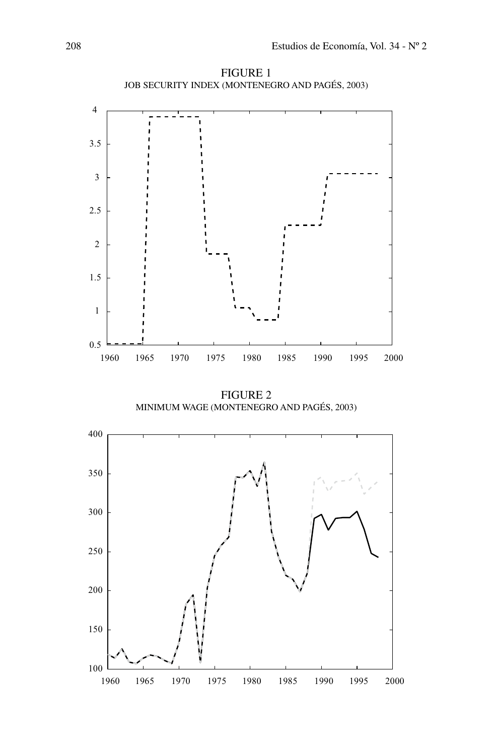

FIGURE 1 Job Security Index (Montenegro and Pagés, 2003)

Figure 2 Minimum Wage (Montenegro and Pagés, 2003)

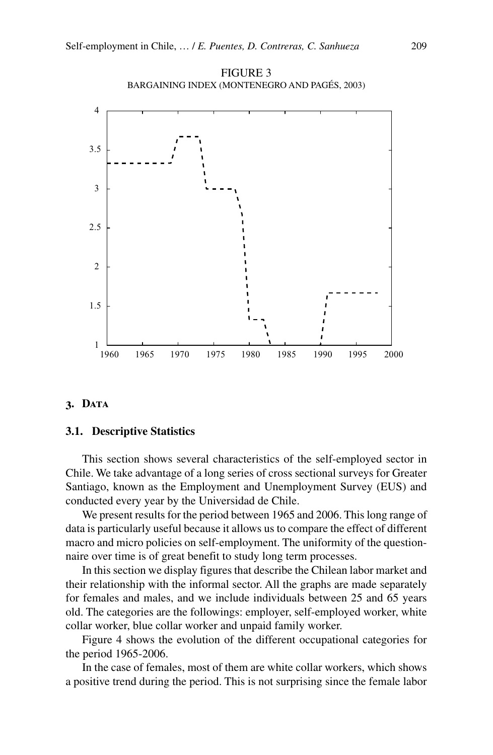

FIGURE 3 Bargaining Index (Montenegro and Pagés, 2003)

## **3. Data**

#### **3.1. Descriptive Statistics**

This section shows several characteristics of the self-employed sector in Chile. We take advantage of a long series of cross sectional surveys for Greater Santiago, known as the Employment and Unemployment Survey (EUS) and conducted every year by the Universidad de Chile.

We present results for the period between 1965 and 2006. This long range of data is particularly useful because it allows us to compare the effect of different macro and micro policies on self-employment. The uniformity of the questionnaire over time is of great benefit to study long term processes.

In this section we display figures that describe the Chilean labor market and their relationship with the informal sector. All the graphs are made separately for females and males, and we include individuals between 25 and 65 years old. The categories are the followings: employer, self-employed worker, white collar worker, blue collar worker and unpaid family worker.

Figure 4 shows the evolution of the different occupational categories for the period 1965-2006.

In the case of females, most of them are white collar workers, which shows a positive trend during the period. This is not surprising since the female labor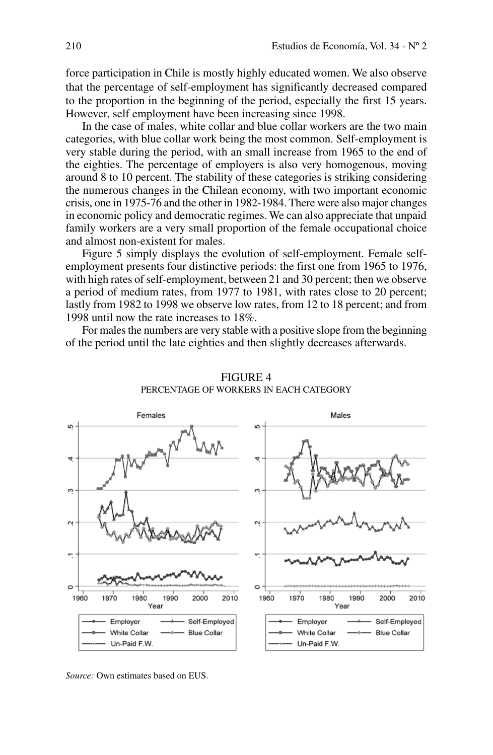force participation in Chile is mostly highly educated women. We also observe that the percentage of self-employment has significantly decreased compared to the proportion in the beginning of the period, especially the first 15 years. However, self employment have been increasing since 1998.

In the case of males, white collar and blue collar workers are the two main categories, with blue collar work being the most common. Self-employment is very stable during the period, with an small increase from 1965 to the end of the eighties. The percentage of employers is also very homogenous, moving around 8 to 10 percent. The stability of these categories is striking considering the numerous changes in the Chilean economy, with two important economic crisis, one in 1975-76 and the other in 1982-1984. There were also major changes in economic policy and democratic regimes. We can also appreciate that unpaid family workers are a very small proportion of the female occupational choice and almost non-existent for males.

Figure 5 simply displays the evolution of self-employment. Female selfemployment presents four distinctive periods: the first one from 1965 to 1976, with high rates of self-employment, between 21 and 30 percent; then we observe a period of medium rates, from 1977 to 1981, with rates close to 20 percent; lastly from 1982 to 1998 we observe low rates, from 12 to 18 percent; and from 1998 until now the rate increases to 18%.

For males the numbers are very stable with a positive slope from the beginning of the period until the late eighties and then slightly decreases afterwards.



FIGURE 4 Percentage of Workers in Each Category

*Source:* Own estimates based on EUS.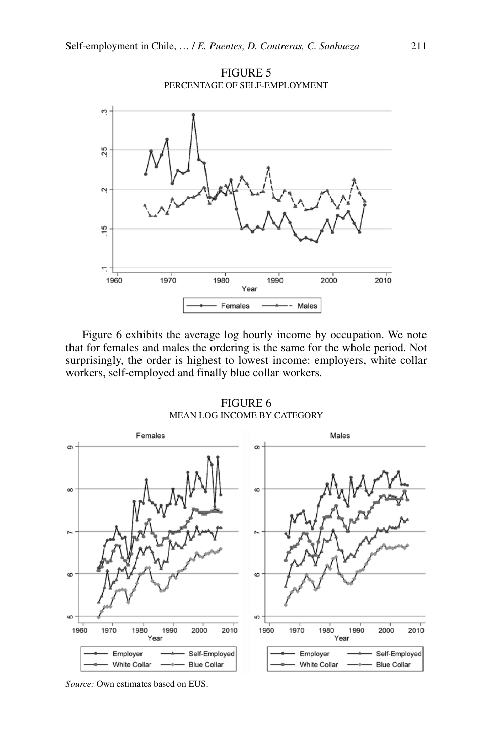

Figure 6 exhibits the average log hourly income by occupation. We note that for females and males the ordering is the same for the whole period. Not surprisingly, the order is highest to lowest income: employers, white collar workers, self-employed and finally blue collar workers.

FIGURE 6 Mean Log Income by Category



*Source:* Own estimates based on EUS.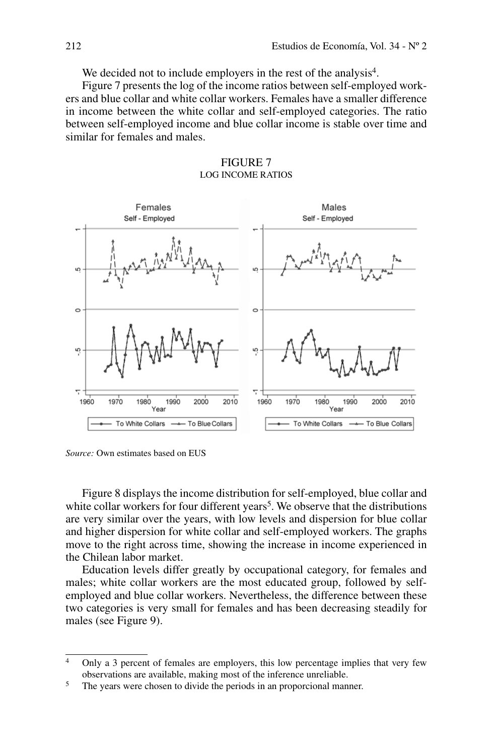We decided not to include employers in the rest of the analysis<sup>4</sup>.

Figure 7 presents the log of the income ratios between self-employed workers and blue collar and white collar workers. Females have a smaller difference in income between the white collar and self-employed categories. The ratio between self-employed income and blue collar income is stable over time and similar for females and males.





*Source:* Own estimates based on EUS

Figure 8 displays the income distribution for self-employed, blue collar and white collar workers for four different years<sup>5</sup>. We observe that the distributions are very similar over the years, with low levels and dispersion for blue collar and higher dispersion for white collar and self-employed workers. The graphs move to the right across time, showing the increase in income experienced in the Chilean labor market.

Education levels differ greatly by occupational category, for females and males; white collar workers are the most educated group, followed by selfemployed and blue collar workers. Nevertheless, the difference between these two categories is very small for females and has been decreasing steadily for males (see Figure 9).

<sup>&</sup>lt;sup>4</sup> Only a 3 percent of females are employers, this low percentage implies that very few observations are available, making most of the inference unreliable. 5 The years were chosen to divide the periods in an proporcional manner.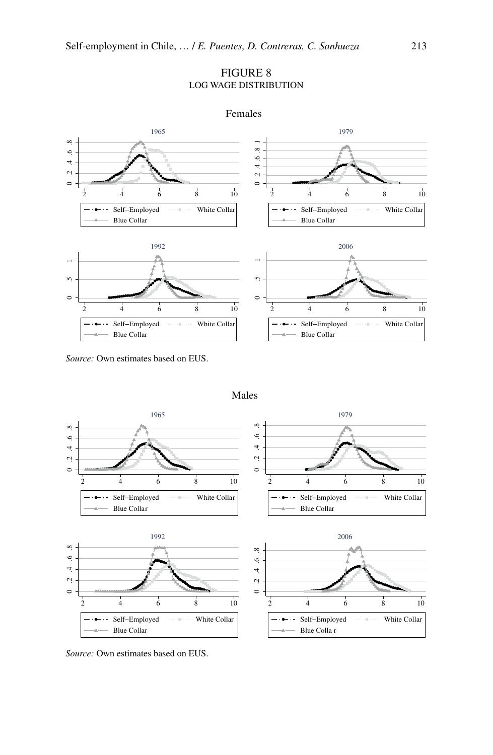# Figure 8 Log Wage Distribution



*Source:* Own estimates based on EUS.



Males

*Source:* Own estimates based on EUS.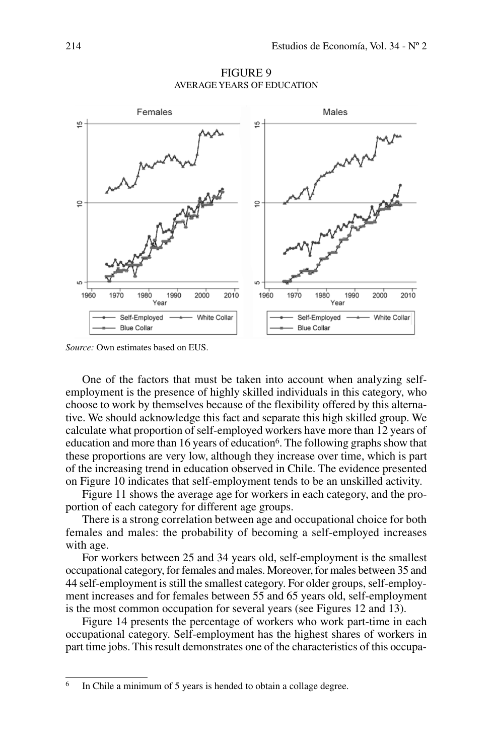

FIGURE 9 Average Years of Education

*Source:* Own estimates based on EUS.

One of the factors that must be taken into account when analyzing selfemployment is the presence of highly skilled individuals in this category, who choose to work by themselves because of the flexibility offered by this alternative. We should acknowledge this fact and separate this high skilled group. We calculate what proportion of self-employed workers have more than 12 years of education and more than 16 years of education<sup>6</sup>. The following graphs show that these proportions are very low, although they increase over time, which is part of the increasing trend in education observed in Chile. The evidence presented on Figure 10 indicates that self-employment tends to be an unskilled activity.

Figure 11 shows the average age for workers in each category, and the proportion of each category for different age groups.

There is a strong correlation between age and occupational choice for both females and males: the probability of becoming a self-employed increases with age.

For workers between 25 and 34 years old, self-employment is the smallest occupational category, for females and males. Moreover, for males between 35 and 44 self-employment is still the smallest category. For older groups, self-employment increases and for females between 55 and 65 years old, self-employment is the most common occupation for several years (see Figures 12 and 13).

Figure 14 presents the percentage of workers who work part-time in each occupational category. Self-employment has the highest shares of workers in part time jobs. This result demonstrates one of the characteristics of this occupa-

<sup>&</sup>lt;sup>6</sup> In Chile a minimum of 5 years is hended to obtain a collage degree.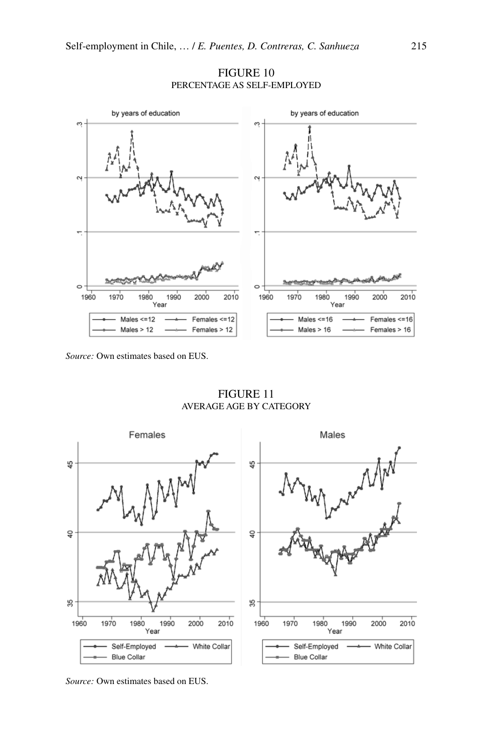

## FIGURE 10 Percentage as Self-Employed

*Source:* Own estimates based on EUS.

Figure 11 Average Age by Category



*Source:* Own estimates based on EUS.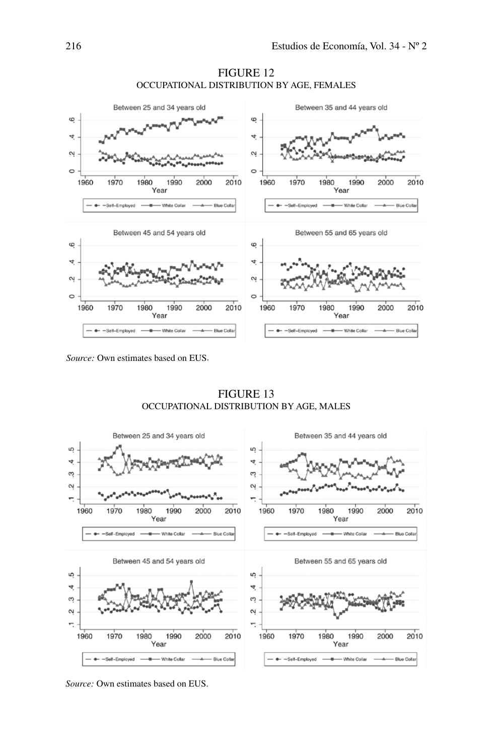

FIGURE 12 Occupational Distribution by Age, Females

FIGURE 13 Occupational Distribution by Age, Males



*Source:* Own estimates based on EUS.

*Source:* Own estimates based on EUS.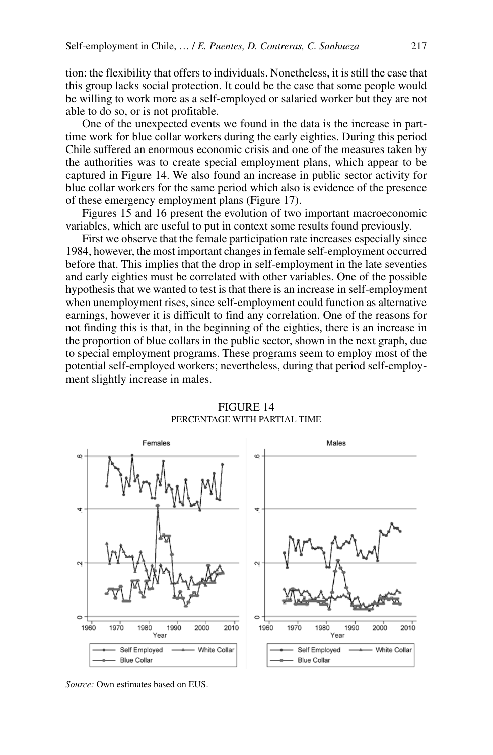tion: the flexibility that offers to individuals. Nonetheless, it is still the case that this group lacks social protection. It could be the case that some people would be willing to work more as a self-employed or salaried worker but they are not able to do so, or is not profitable.

One of the unexpected events we found in the data is the increase in parttime work for blue collar workers during the early eighties. During this period Chile suffered an enormous economic crisis and one of the measures taken by the authorities was to create special employment plans, which appear to be captured in Figure 14. We also found an increase in public sector activity for blue collar workers for the same period which also is evidence of the presence of these emergency employment plans (Figure 17).

Figures 15 and 16 present the evolution of two important macroeconomic variables, which are useful to put in context some results found previously.

First we observe that the female participation rate increases especially since 1984, however, the most important changes in female self-employment occurred before that. This implies that the drop in self-employment in the late seventies and early eighties must be correlated with other variables. One of the possible hypothesis that we wanted to test is that there is an increase in self-employment when unemployment rises, since self-employment could function as alternative earnings, however it is difficult to find any correlation. One of the reasons for not finding this is that, in the beginning of the eighties, there is an increase in the proportion of blue collars in the public sector, shown in the next graph, due to special employment programs. These programs seem to employ most of the potential self-employed workers; nevertheless, during that period self-employment slightly increase in males.



#### Figure 14 Percentage with Partial Time

*Source:* Own estimates based on EUS.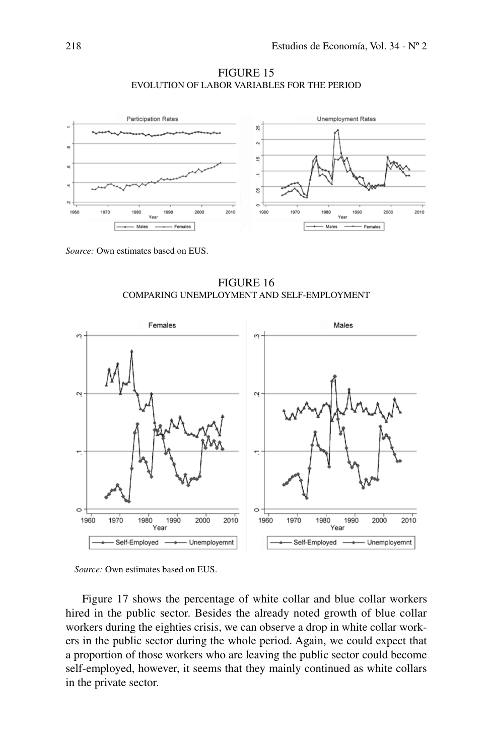

FIGURE 15 EVOLUTION OF LABOR VARIABLEs FOR THE PERIOD

*Source:* Own estimates based on EUS.

FIGURE 16 comparing unemployment and self-employment





Figure 17 shows the percentage of white collar and blue collar workers hired in the public sector. Besides the already noted growth of blue collar workers during the eighties crisis, we can observe a drop in white collar workers in the public sector during the whole period. Again, we could expect that a proportion of those workers who are leaving the public sector could become self-employed, however, it seems that they mainly continued as white collars in the private sector.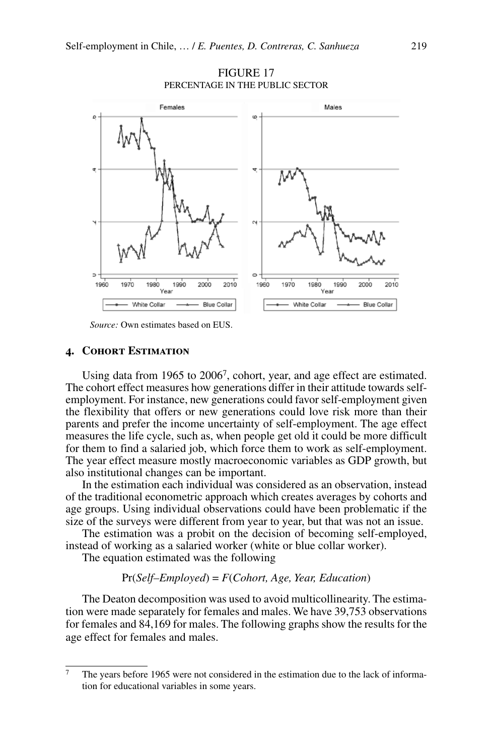

**FIGURE 17** Percentage in the Public Sector

*Source:* Own estimates based on EUS.

#### **4. Cohort Estimation**

Using data from 1965 to 20067, cohort, year, and age effect are estimated. The cohort effect measures how generations differ in their attitude towards selfemployment. For instance, new generations could favor self-employment given the flexibility that offers or new generations could love risk more than their parents and prefer the income uncertainty of self-employment. The age effect measures the life cycle, such as, when people get old it could be more difficult for them to find a salaried job, which force them to work as self-employment. The year effect measure mostly macroeconomic variables as GDP growth, but also institutional changes can be important.

In the estimation each individual was considered as an observation, instead of the traditional econometric approach which creates averages by cohorts and age groups. Using individual observations could have been problematic if the size of the surveys were different from year to year, but that was not an issue.

The estimation was a probit on the decision of becoming self-employed, instead of working as a salaried worker (white or blue collar worker).

The equation estimated was the following

#### Pr(*Self–Employed*) = *F*(*Cohort, Age, Year, Education*)

The Deaton decomposition was used to avoid multicollinearity. The estimation were made separately for females and males. We have 39,753 observations for females and 84,169 for males. The following graphs show the results for the age effect for females and males.

<sup>7</sup> The years before 1965 were not considered in the estimation due to the lack of information for educational variables in some years.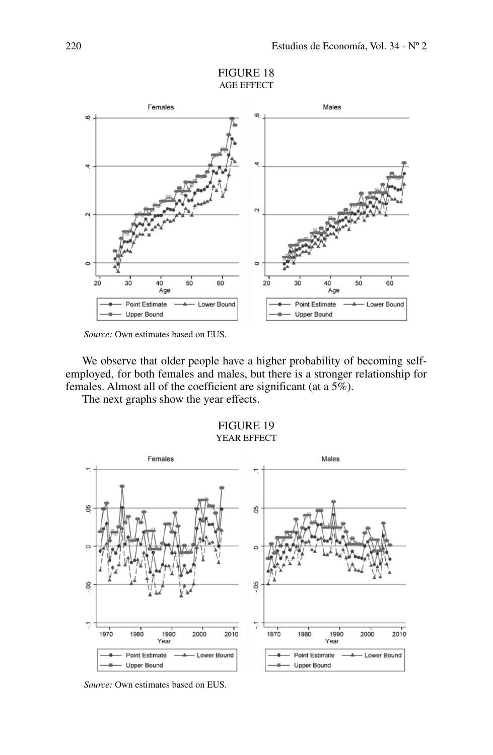

*Source:* Own estimates based on EUS.

We observe that older people have a higher probability of becoming selfemployed, for both females and males, but there is a stronger relationship for females. Almost all of the coefficient are significant (at a 5%).

The next graphs show the year effects.

FIGURE 19 YEAR EFFECT



*Source:* Own estimates based on EUS.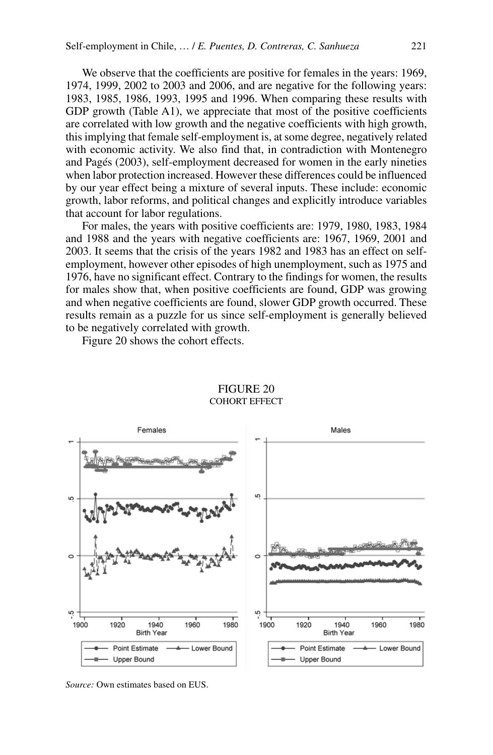We observe that the coefficients are positive for females in the years: 1969, 1974, 1999, 2002 to 2003 and 2006, and are negative for the following years: 1983, 1985, 1986, 1993, 1995 and 1996. When comparing these results with GDP growth (Table A1), we appreciate that most of the positive coefficients are correlated with low growth and the negative coefficients with high growth, this implying that female self-employment is, at some degree, negatively related with economic activity. We also find that, in contradiction with Montenegro and Pagés (2003), self-employment decreased for women in the early nineties when labor protection increased. However these differences could be influenced by our year effect being a mixture of several inputs. These include: economic growth, labor reforms, and political changes and explicitly introduce variables that account for labor regulations.

For males, the years with positive coefficients are: 1979, 1980, 1983, 1984 and 1988 and the years with negative coefficients are: 1967, 1969, 2001 and 2003. It seems that the crisis of the years 1982 and 1983 has an effect on selfemployment, however other episodes of high unemployment, such as 1975 and 1976, have no significant effect. Contrary to the findings for women, the results for males show that, when positive coefficients are found, GDP was growing and when negative coefficients are found, slower GDP growth occurred. These results remain as a puzzle for us since self-employment is generally believed to be negatively correlated with growth.

Figure 20 shows the cohort effects.



## Figure 20 Cohort Effect

*Source:* Own estimates based on EUS.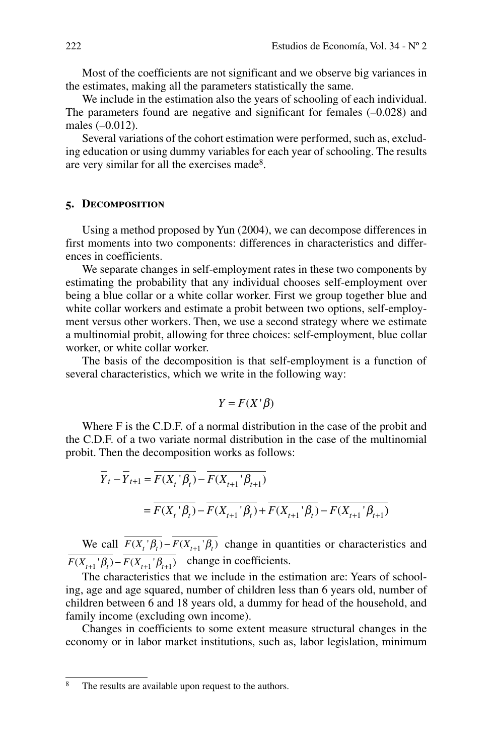Most of the coefficients are not significant and we observe big variances in the estimates, making all the parameters statistically the same.

We include in the estimation also the years of schooling of each individual. The parameters found are negative and significant for females (–0.028) and males (–0.012).

Several variations of the cohort estimation were performed, such as, excluding education or using dummy variables for each year of schooling. The results are very similar for all the exercises made<sup>8</sup>.

## **5. Decomposition**

Using a method proposed by Yun (2004), we can decompose differences in first moments into two components: differences in characteristics and differences in coefficients.

We separate changes in self-employment rates in these two components by estimating the probability that any individual chooses self-employment over being a blue collar or a white collar worker. First we group together blue and white collar workers and estimate a probit between two options, self-employment versus other workers. Then, we use a second strategy where we estimate a multinomial probit, allowing for three choices: self-employment, blue collar worker, or white collar worker.

The basis of the decomposition is that self-employment is a function of several characteristics, which we write in the following way:

$$
Y = F(X'|\beta)
$$

Where F is the C.D.F. of a normal distribution in the case of the probit and the C.D.F. of a two variate normal distribution in the case of the multinomial probit. Then the decomposition works as follows:

$$
\overline{Y}_t - \overline{Y}_{t+1} = \overline{F(X_t | \beta_t)} - \overline{F(X_{t+1} | \beta_{t+1})}
$$
\n
$$
= \overline{F(X_t | \beta_t)} - \overline{F(X_{t+1} | \beta_t)} + \overline{F(X_{t+1} | \beta_t)} - \overline{F(X_{t+1} | \beta_{t+1})}
$$

We call  $\overline{F(X_i \mid \beta_i)} - \overline{F(X_{i+1} \mid \beta_i)}$  change in quantities or characteristics and  $\overline{F(X_{t+1} | \beta_t)} - \overline{F(X_{t+1} | \beta_{t+1})}$  change in coefficients.

The characteristics that we include in the estimation are: Years of schooling, age and age squared, number of children less than 6 years old, number of children between 6 and 18 years old, a dummy for head of the household, and family income (excluding own income).

Changes in coefficients to some extent measure structural changes in the economy or in labor market institutions, such as, labor legislation, minimum

<sup>&</sup>lt;sup>8</sup> The results are available upon request to the authors.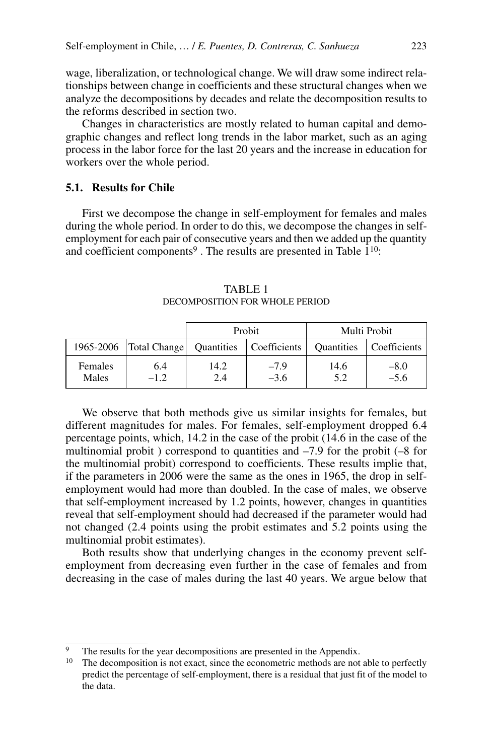wage, liberalization, or technological change. We will draw some indirect relationships between change in coefficients and these structural changes when we analyze the decompositions by decades and relate the decomposition results to the reforms described in section two.

Changes in characteristics are mostly related to human capital and demographic changes and reflect long trends in the labor market, such as an aging process in the labor force for the last 20 years and the increase in education for workers over the whole period.

# **5.1. Results for Chile**

First we decompose the change in self-employment for females and males during the whole period. In order to do this, we decompose the changes in selfemployment for each pair of consecutive years and then we added up the quantity and coefficient components<sup>9</sup>. The results are presented in Table  $1^{10}$ :

|                  |                          | Probit            |                  |                   | Multi Probit     |
|------------------|--------------------------|-------------------|------------------|-------------------|------------------|
|                  | 1965-2006   Total Change | <b>Quantities</b> | Coefficients     | <b>Quantities</b> | Coefficients     |
| Females<br>Males | 6.4<br>$-1.2$            | 14.2<br>2.4       | $-7.9$<br>$-3.6$ | 14.6<br>5.2       | $-8.0$<br>$-5.6$ |

TABLE 1 Decomposition for Whole Period

We observe that both methods give us similar insights for females, but different magnitudes for males. For females, self-employment dropped 6.4 percentage points, which, 14.2 in the case of the probit (14.6 in the case of the multinomial probit ) correspond to quantities and –7.9 for the probit (–8 for the multinomial probit) correspond to coefficients. These results implie that, if the parameters in 2006 were the same as the ones in 1965, the drop in selfemployment would had more than doubled. In the case of males, we observe that self-employment increased by 1.2 points, however, changes in quantities reveal that self-employment should had decreased if the parameter would had not changed (2.4 points using the probit estimates and 5.2 points using the multinomial probit estimates).

Both results show that underlying changes in the economy prevent selfemployment from decreasing even further in the case of females and from decreasing in the case of males during the last 40 years. We argue below that

<sup>&</sup>lt;sup>9</sup> The results for the year decompositions are presented in the Appendix.<br><sup>10</sup> The decomposition is not exact, since the econometric methods are not

The decomposition is not exact, since the econometric methods are not able to perfectly predict the percentage of self-employment, there is a residual that just fit of the model to the data.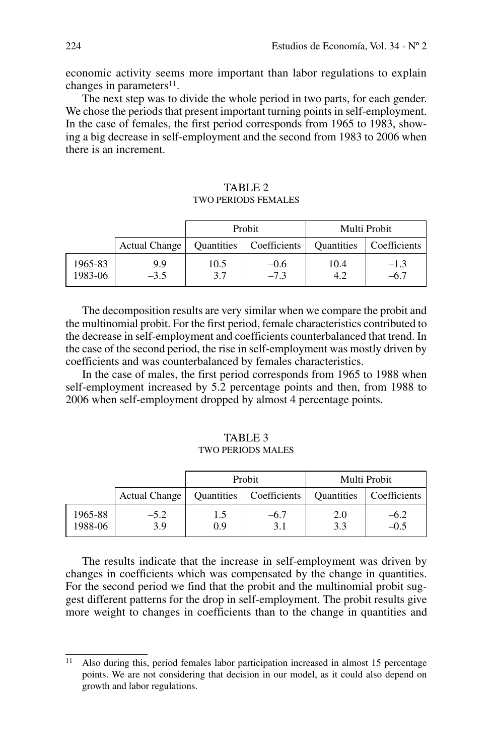economic activity seems more important than labor regulations to explain changes in parameters<sup>11</sup>.

The next step was to divide the whole period in two parts, for each gender. We chose the periods that present important turning points in self-employment. In the case of females, the first period corresponds from 1965 to 1983, showing a big decrease in self-employment and the second from 1983 to 2006 when there is an increment.

|                    |                      | Probit      |                  | Multi Probit      |                  |  |
|--------------------|----------------------|-------------|------------------|-------------------|------------------|--|
|                    | <b>Actual Change</b> | Quantities  | Coefficients     | <b>Ouantities</b> | Coefficients     |  |
| 1965-83<br>1983-06 | 9.9<br>$-3.5$        | 10.5<br>3.7 | $-0.6$<br>$-7.3$ | 10.4<br>4.2       | $-1.3$<br>$-6.7$ |  |

# TABLE<sub>2</sub> two periods females

The decomposition results are very similar when we compare the probit and the multinomial probit. For the first period, female characteristics contributed to the decrease in self-employment and coefficients counterbalanced that trend. In the case of the second period, the rise in self-employment was mostly driven by coefficients and was counterbalanced by females characteristics.

In the case of males, the first period corresponds from 1965 to 1988 when self-employment increased by 5.2 percentage points and then, from 1988 to 2006 when self-employment dropped by almost 4 percentage points.

# TABLE 3 two periods males

|                    |                      |                   | Probit       |                   | Multi Probit   |
|--------------------|----------------------|-------------------|--------------|-------------------|----------------|
|                    | <b>Actual Change</b> | <b>Quantities</b> | Coefficients | <b>Quantities</b> | Coefficients   |
| 1965-88<br>1988-06 | $-5.2$<br>3.9        | 1.5<br>0.9        | -6.7<br>3.1  | 2.0<br>3.3        | -6.2<br>$-0.5$ |

The results indicate that the increase in self-employment was driven by changes in coefficients which was compensated by the change in quantities. For the second period we find that the probit and the multinomial probit suggest different patterns for the drop in self-employment. The probit results give more weight to changes in coefficients than to the change in quantities and

<sup>11</sup> Also during this, period females labor participation increased in almost 15 percentage points. We are not considering that decision in our model, as it could also depend on growth and labor regulations.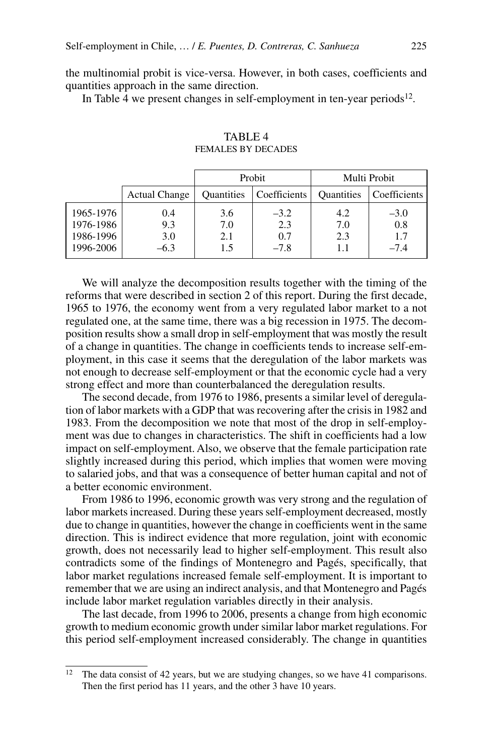the multinomial probit is vice-versa. However, in both cases, coefficients and quantities approach in the same direction.

In Table 4 we present changes in self-employment in ten-year periods<sup>12</sup>.

|                                                  |                             | Probit                   |                                |                   | Multi Probit                   |
|--------------------------------------------------|-----------------------------|--------------------------|--------------------------------|-------------------|--------------------------------|
|                                                  | <b>Actual Change</b>        | Quantities               | Coefficients                   | <b>Quantities</b> | Coefficients                   |
| 1965-1976<br>1976-1986<br>1986-1996<br>1996-2006 | 0.4<br>9.3<br>3.0<br>$-6.3$ | 3.6<br>7.0<br>2.1<br>1.5 | $-3.2$<br>2.3<br>0.7<br>$-7.8$ | 4.2<br>7.0<br>2.3 | $-3.0$<br>0.8<br>1.7<br>$-7.4$ |

TABLE<sub>4</sub> females by decades

We will analyze the decomposition results together with the timing of the reforms that were described in section 2 of this report. During the first decade, 1965 to 1976, the economy went from a very regulated labor market to a not regulated one, at the same time, there was a big recession in 1975. The decomposition results show a small drop in self-employment that was mostly the result of a change in quantities. The change in coefficients tends to increase self-employment, in this case it seems that the deregulation of the labor markets was not enough to decrease self-employment or that the economic cycle had a very strong effect and more than counterbalanced the deregulation results.

The second decade, from 1976 to 1986, presents a similar level of deregulation of labor markets with a GDP that was recovering after the crisis in 1982 and 1983. From the decomposition we note that most of the drop in self-employment was due to changes in characteristics. The shift in coefficients had a low impact on self-employment. Also, we observe that the female participation rate slightly increased during this period, which implies that women were moving to salaried jobs, and that was a consequence of better human capital and not of a better economic environment.

From 1986 to 1996, economic growth was very strong and the regulation of labor markets increased. During these years self-employment decreased, mostly due to change in quantities, however the change in coefficients went in the same direction. This is indirect evidence that more regulation, joint with economic growth, does not necessarily lead to higher self-employment. This result also contradicts some of the findings of Montenegro and Pagés, specifically, that labor market regulations increased female self-employment. It is important to remember that we are using an indirect analysis, and that Montenegro and Pagés include labor market regulation variables directly in their analysis.

The last decade, from 1996 to 2006, presents a change from high economic growth to medium economic growth under similar labor market regulations. For this period self-employment increased considerably. The change in quantities

<sup>&</sup>lt;sup>12</sup> The data consist of 42 years, but we are studying changes, so we have 41 comparisons. Then the first period has 11 years, and the other 3 have 10 years.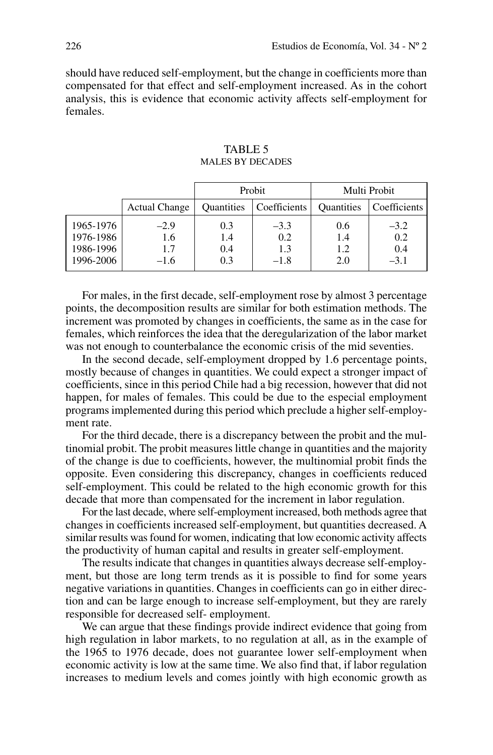should have reduced self-employment, but the change in coefficients more than compensated for that effect and self-employment increased. As in the cohort analysis, this is evidence that economic activity affects self-employment for females.

| <b>TABLE 5</b>          |
|-------------------------|
| <b>MALES BY DECADES</b> |

|                                                  |                                | Probit                   |                                |                          | Multi Probit                   |
|--------------------------------------------------|--------------------------------|--------------------------|--------------------------------|--------------------------|--------------------------------|
|                                                  | <b>Actual Change</b>           | <b>Ouantities</b>        | Coefficients                   | <b>Quantities</b>        | Coefficients                   |
| 1965-1976<br>1976-1986<br>1986-1996<br>1996-2006 | $-2.9$<br>1.6<br>1.7<br>$-1.6$ | 0.3<br>1.4<br>0.4<br>0.3 | $-3.3$<br>0.2<br>1.3<br>$-1.8$ | 0.6<br>1.4<br>1.2<br>2.0 | $-3.2$<br>0.2<br>0.4<br>$-3.1$ |

For males, in the first decade, self-employment rose by almost 3 percentage points, the decomposition results are similar for both estimation methods. The increment was promoted by changes in coefficients, the same as in the case for females, which reinforces the idea that the deregularization of the labor market was not enough to counterbalance the economic crisis of the mid seventies.

In the second decade, self-employment dropped by 1.6 percentage points, mostly because of changes in quantities. We could expect a stronger impact of coefficients, since in this period Chile had a big recession, however that did not happen, for males of females. This could be due to the especial employment programs implemented during this period which preclude a higher self-employment rate.

For the third decade, there is a discrepancy between the probit and the multinomial probit. The probit measures little change in quantities and the majority of the change is due to coefficients, however, the multinomial probit finds the opposite. Even considering this discrepancy, changes in coefficients reduced self-employment. This could be related to the high economic growth for this decade that more than compensated for the increment in labor regulation.

For the last decade, where self-employment increased, both methods agree that changes in coefficients increased self-employment, but quantities decreased. A similar results was found for women, indicating that low economic activity affects the productivity of human capital and results in greater self-employment.

The results indicate that changes in quantities always decrease self-employment, but those are long term trends as it is possible to find for some years negative variations in quantities. Changes in coefficients can go in either direction and can be large enough to increase self-employment, but they are rarely responsible for decreased self- employment.

We can argue that these findings provide indirect evidence that going from high regulation in labor markets, to no regulation at all, as in the example of the 1965 to 1976 decade, does not guarantee lower self-employment when economic activity is low at the same time. We also find that, if labor regulation increases to medium levels and comes jointly with high economic growth as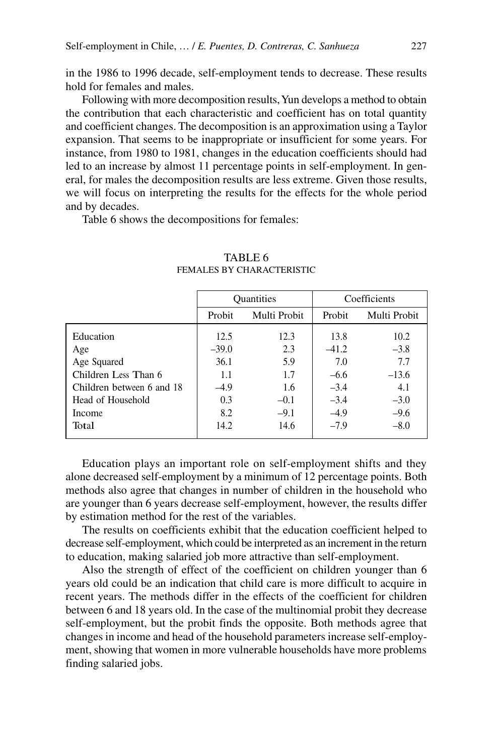in the 1986 to 1996 decade, self-employment tends to decrease. These results hold for females and males.

Following with more decomposition results, Yun develops a method to obtain the contribution that each characteristic and coefficient has on total quantity and coefficient changes. The decomposition is an approximation using a Taylor expansion. That seems to be inappropriate or insufficient for some years. For instance, from 1980 to 1981, changes in the education coefficients should had led to an increase by almost 11 percentage points in self-employment. In general, for males the decomposition results are less extreme. Given those results, we will focus on interpreting the results for the effects for the whole period and by decades.

Table 6 shows the decompositions for females:

|                           | <b>Quantities</b> |              |         | Coefficients |
|---------------------------|-------------------|--------------|---------|--------------|
|                           | Probit            | Multi Probit |         | Multi Probit |
| Education                 | 12.5              | 12.3         | 13.8    | 10.2         |
| Age                       | $-39.0$           | 2.3          | $-41.2$ | $-3.8$       |
| Age Squared               | 36.1              | 5.9          | 7.0     | 7.7          |
| Children Less Than 6      | 1.1               | 1.7          | $-6.6$  | $-13.6$      |
| Children between 6 and 18 | $-4.9$            | 1.6          | $-3.4$  | 4.1          |
| Head of Household         | 0.3               | $-0.1$       | $-3.4$  | $-3.0$       |
| Income                    | 8.2               | $-9.1$       | $-4.9$  | $-9.6$       |
| Total                     | 14.2              | 14.6         | $-7.9$  | $-8.0$       |

# TABLE<sub>6</sub> FEMALES BY CHARACTERISTIC

Education plays an important role on self-employment shifts and they alone decreased self-employment by a minimum of 12 percentage points. Both methods also agree that changes in number of children in the household who are younger than 6 years decrease self-employment, however, the results differ by estimation method for the rest of the variables.

The results on coefficients exhibit that the education coefficient helped to decrease self-employment, which could be interpreted as an increment in the return to education, making salaried job more attractive than self-employment.

Also the strength of effect of the coefficient on children younger than 6 years old could be an indication that child care is more difficult to acquire in recent years. The methods differ in the effects of the coefficient for children between 6 and 18 years old. In the case of the multinomial probit they decrease self-employment, but the probit finds the opposite. Both methods agree that changes in income and head of the household parameters increase self-employment, showing that women in more vulnerable households have more problems finding salaried jobs.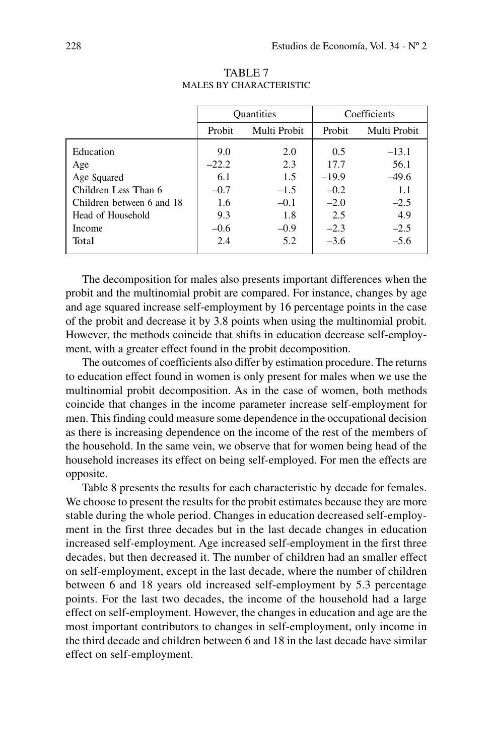|                           | <b>Quantities</b> |              |         | Coefficients |
|---------------------------|-------------------|--------------|---------|--------------|
|                           | Probit            | Multi Probit |         | Multi Probit |
| Education                 | 9.0               | 2.0          | 0.5     | $-13.1$      |
| Age                       | $-22.2$           | 2.3          | 17.7    | 56.1         |
| Age Squared               | 6.1               | 1.5          | $-19.9$ | $-49.6$      |
| Children Less Than 6      | $-0.7$            | $-1.5$       | $-0.2$  | 1.1          |
| Children between 6 and 18 | 1.6               | $-0.1$       | $-2.0$  | $-2.5$       |
| Head of Household         | 9.3               | 1.8          | 2.5     | 4.9          |
| Income                    | $-0.6$            | $-0.9$       | $-2.3$  | $-2.5$       |
| Total                     | 2.4               | 5.2          | $-3.6$  | $-5.6$       |
|                           |                   |              |         |              |

TABLE 7 Males by characteristic

The decomposition for males also presents important differences when the probit and the multinomial probit are compared. For instance, changes by age and age squared increase self-employment by 16 percentage points in the case of the probit and decrease it by 3.8 points when using the multinomial probit. However, the methods coincide that shifts in education decrease self-employment, with a greater effect found in the probit decomposition.

The outcomes of coefficients also differ by estimation procedure. The returns to education effect found in women is only present for males when we use the multinomial probit decomposition. As in the case of women, both methods coincide that changes in the income parameter increase self-employment for men. This finding could measure some dependence in the occupational decision as there is increasing dependence on the income of the rest of the members of the household. In the same vein, we observe that for women being head of the household increases its effect on being self-employed. For men the effects are opposite.

Table 8 presents the results for each characteristic by decade for females. We choose to present the results for the probit estimates because they are more stable during the whole period. Changes in education decreased self-employment in the first three decades but in the last decade changes in education increased self-employment. Age increased self-employment in the first three decades, but then decreased it. The number of children had an smaller effect on self-employment, except in the last decade, where the number of children between 6 and 18 years old increased self-employment by 5.3 percentage points. For the last two decades, the income of the household had a large effect on self-employment. However, the changes in education and age are the most important contributors to changes in self-employment, only income in the third decade and children between 6 and 18 in the last decade have similar effect on self-employment.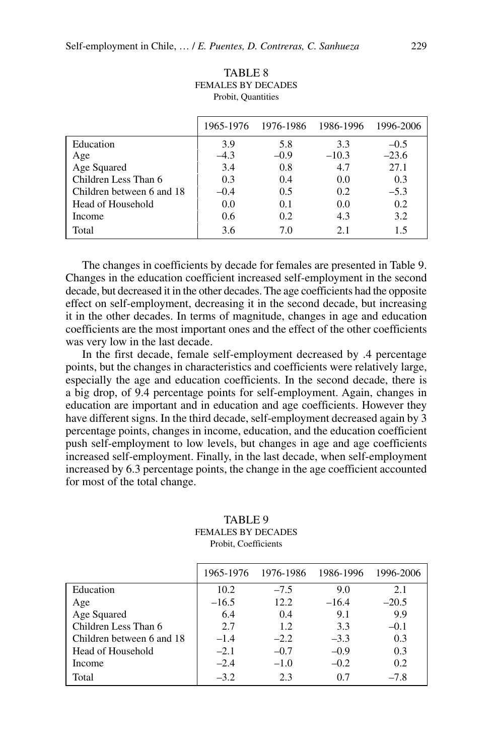| FEMALES BY DECADES<br>Probit, Quantities |        |                     |           |           |  |  |
|------------------------------------------|--------|---------------------|-----------|-----------|--|--|
|                                          |        | 1965-1976 1976-1986 | 1986-1996 | 1996-2006 |  |  |
| Education                                | 3.9    | 5.8                 | 3.3       | $-0.5$    |  |  |
| Age                                      | $-4.3$ | $-0.9$              | $-10.3$   | $-23.6$   |  |  |
| Age Squared                              | 3.4    | 0.8                 | 4.7       | 27.1      |  |  |
| Children Less Than 6                     | 0.3    | 0.4                 | 0.0       | 0.3       |  |  |
| Children between 6 and 18                | $-0.4$ | 0.5                 | 0.2       | $-5.3$    |  |  |
| Head of Household                        | 0.0    | 0.1                 | 0.0       | 0.2       |  |  |
| Income                                   | 0.6    | 0.2                 | 4.3       | 3.2       |  |  |
| Total                                    | 3.6    | 7.0                 | 2.1       | 1.5       |  |  |

TABLE 8 FEMALES BY D

The changes in coefficients by decade for females are presented in Table 9. Changes in the education coefficient increased self-employment in the second decade, but decreased it in the other decades. The age coefficients had the opposite effect on self-employment, decreasing it in the second decade, but increasing it in the other decades. In terms of magnitude, changes in age and education coefficients are the most important ones and the effect of the other coefficients was very low in the last decade.

In the first decade, female self-employment decreased by .4 percentage points, but the changes in characteristics and coefficients were relatively large, especially the age and education coefficients. In the second decade, there is a big drop, of 9.4 percentage points for self-employment. Again, changes in education are important and in education and age coefficients. However they have different signs. In the third decade, self-employment decreased again by 3 percentage points, changes in income, education, and the education coefficient push self-employment to low levels, but changes in age and age coefficients increased self-employment. Finally, in the last decade, when self-employment increased by 6.3 percentage points, the change in the age coefficient accounted for most of the total change.

|                           |         | 1965-1976 1976-1986 | 1986-1996 | 1996-2006 |
|---------------------------|---------|---------------------|-----------|-----------|
| Education                 | 10.2    | $-7.5$              | 9.0       | 2.1       |
| Age                       | $-16.5$ | 12.2                | $-16.4$   | $-20.5$   |
| Age Squared               | 6.4     | 0.4                 | 9.1       | 9.9       |
| Children Less Than 6      | 2.7     | 1.2                 | 3.3       | $-0.1$    |
| Children between 6 and 18 | $-1.4$  | $-2.2$              | $-3.3$    | 0.3       |
| Head of Household         | $-2.1$  | $-0.7$              | $-0.9$    | 0.3       |
| Income                    | $-2.4$  | $-1.0$              | $-0.2$    | 0.2       |
| Total                     | $-3.2$  | 23                  | 0.7       | $-7.8$    |

## TABLE 9 Females by decades Probit, Coefficients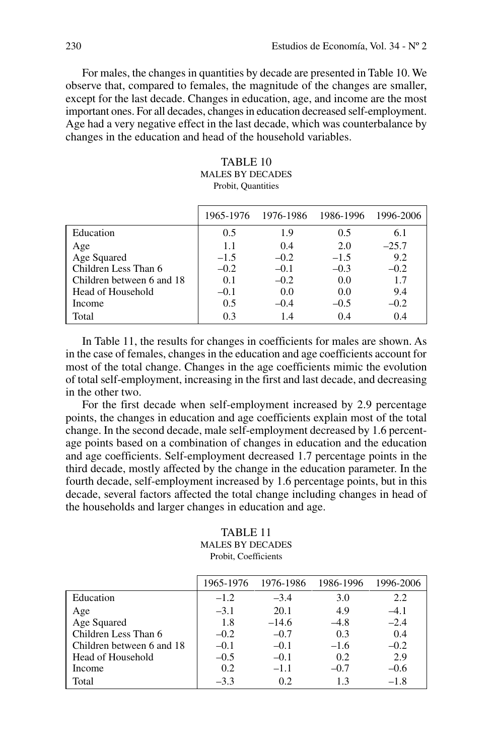For males, the changes in quantities by decade are presented in Table 10. We observe that, compared to females, the magnitude of the changes are smaller, except for the last decade. Changes in education, age, and income are the most important ones. For all decades, changes in education decreased self-employment. Age had a very negative effect in the last decade, which was counterbalance by changes in the education and head of the household variables.

| TABLE 10                |
|-------------------------|
| <b>MALES BY DECADES</b> |
| Probit. Quantities      |

|                           |        | 1965-1976 1976-1986 1986-1996 |        | 1996-2006 |
|---------------------------|--------|-------------------------------|--------|-----------|
| Education                 | 0.5    | 1.9                           | 0.5    | 6.1       |
| Age                       | 1.1    | 0.4                           | 2.0    | $-25.7$   |
| Age Squared               | $-1.5$ | $-0.2$                        | $-1.5$ | 9.2       |
| Children Less Than 6      | $-0.2$ | $-0.1$                        | $-0.3$ | $-0.2$    |
| Children between 6 and 18 | 0.1    | $-0.2$                        | 0.0    | 1.7       |
| Head of Household         | $-0.1$ | 0.0                           | 0.0    | 9.4       |
| Income                    | 0.5    | $-0.4$                        | $-0.5$ | $-0.2$    |
| Total                     | 0.3    | 1.4                           | 0.4    | 0.4       |

In Table 11, the results for changes in coefficients for males are shown. As in the case of females, changes in the education and age coefficients account for most of the total change. Changes in the age coefficients mimic the evolution of total self-employment, increasing in the first and last decade, and decreasing in the other two.

For the first decade when self-employment increased by 2.9 percentage points, the changes in education and age coefficients explain most of the total change. In the second decade, male self-employment decreased by 1.6 percentage points based on a combination of changes in education and the education and age coefficients. Self-employment decreased 1.7 percentage points in the third decade, mostly affected by the change in the education parameter. In the fourth decade, self-employment increased by 1.6 percentage points, but in this decade, several factors affected the total change including changes in head of the households and larger changes in education and age.

## TABLE 11 Males by decades Probit, Coefficients

|                           | 1965-1976 | 1976-1986 | 1986-1996 | 1996-2006 |
|---------------------------|-----------|-----------|-----------|-----------|
| Education                 | $-1.2$    | $-3.4$    | 3.0       | 2.2       |
| Age                       | $-3.1$    | 20.1      | 4.9       | $-4.1$    |
| Age Squared               | 1.8       | $-14.6$   | $-4.8$    | $-2.4$    |
| Children Less Than 6      | $-0.2$    | $-0.7$    | 0.3       | 0.4       |
| Children between 6 and 18 | $-0.1$    | $-0.1$    | $-1.6$    | $-0.2$    |
| Head of Household         | $-0.5$    | $-0.1$    | 0.2       | 2.9       |
| Income                    | 0.2       | $-1.1$    | $-0.7$    | $-0.6$    |
| Total                     | $-3.3$    | 0.2       | 1.3       | $-1.8$    |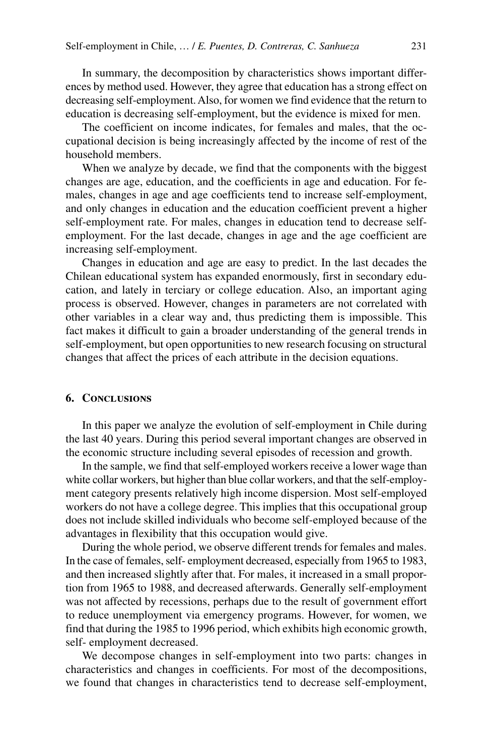In summary, the decomposition by characteristics shows important differences by method used. However, they agree that education has a strong effect on decreasing self-employment. Also, for women we find evidence that the return to education is decreasing self-employment, but the evidence is mixed for men.

The coefficient on income indicates, for females and males, that the occupational decision is being increasingly affected by the income of rest of the household members.

When we analyze by decade, we find that the components with the biggest changes are age, education, and the coefficients in age and education. For females, changes in age and age coefficients tend to increase self-employment, and only changes in education and the education coefficient prevent a higher self-employment rate. For males, changes in education tend to decrease selfemployment. For the last decade, changes in age and the age coefficient are increasing self-employment.

Changes in education and age are easy to predict. In the last decades the Chilean educational system has expanded enormously, first in secondary education, and lately in terciary or college education. Also, an important aging process is observed. However, changes in parameters are not correlated with other variables in a clear way and, thus predicting them is impossible. This fact makes it difficult to gain a broader understanding of the general trends in self-employment, but open opportunities to new research focusing on structural changes that affect the prices of each attribute in the decision equations.

# **6. Conclusions**

In this paper we analyze the evolution of self-employment in Chile during the last 40 years. During this period several important changes are observed in the economic structure including several episodes of recession and growth.

In the sample, we find that self-employed workers receive a lower wage than white collar workers, but higher than blue collar workers, and that the self-employment category presents relatively high income dispersion. Most self-employed workers do not have a college degree. This implies that this occupational group does not include skilled individuals who become self-employed because of the advantages in flexibility that this occupation would give.

During the whole period, we observe different trends for females and males. In the case of females, self- employment decreased, especially from 1965 to 1983, and then increased slightly after that. For males, it increased in a small proportion from 1965 to 1988, and decreased afterwards. Generally self-employment was not affected by recessions, perhaps due to the result of government effort to reduce unemployment via emergency programs. However, for women, we find that during the 1985 to 1996 period, which exhibits high economic growth, self- employment decreased.

We decompose changes in self-employment into two parts: changes in characteristics and changes in coefficients. For most of the decompositions, we found that changes in characteristics tend to decrease self-employment,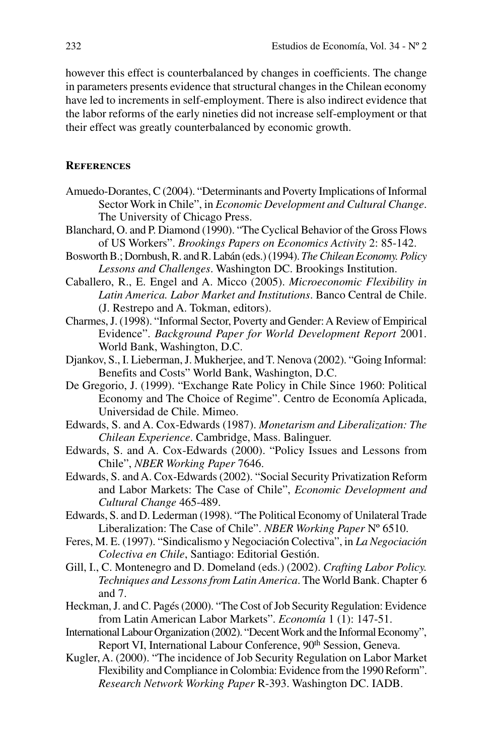however this effect is counterbalanced by changes in coefficients. The change in parameters presents evidence that structural changes in the Chilean economy have led to increments in self-employment. There is also indirect evidence that the labor reforms of the early nineties did not increase self-employment or that their effect was greatly counterbalanced by economic growth.

# **References**

- Amuedo-Dorantes, C (2004). "Determinants and Poverty Implications of Informal Sector Work in Chile", in *Economic Development and Cultural Change*. The University of Chicago Press.
- Blanchard, O. and P. Diamond (1990). "The Cyclical Behavior of the Gross Flows of US Workers". *Brookings Papers on Economics Activity* 2: 85-142.
- Bosworth B.; Dornbush, R. and R. Labán (eds.) (1994). *The Chilean Economy. Policy Lessons and Challenges*. Washington DC. Brookings Institution.
- Caballero, R., E. Engel and A. Micco (2005). *Microeconomic Flexibility in Latin America. Labor Market and Institutions*. Banco Central de Chile. (J. Restrepo and A. Tokman, editors).
- Charmes, J. (1998). "Informal Sector, Poverty and Gender: A Review of Empirical Evidence". *Background Paper for World Development Report* 2001. World Bank, Washington, D.C.
- Djankov, S., I. Lieberman, J. Mukherjee, and T. Nenova (2002). "Going Informal: Benefits and Costs" World Bank, Washington, D.C.
- De Gregorio, J. (1999). "Exchange Rate Policy in Chile Since 1960: Political Economy and The Choice of Regime". Centro de Economía Aplicada, Universidad de Chile. Mimeo.
- Edwards, S. and A. Cox-Edwards (1987). *Monetarism and Liberalization: The Chilean Experience*. Cambridge, Mass. Balinguer.
- Edwards, S. and A. Cox-Edwards (2000). "Policy Issues and Lessons from Chile", *NBER Working Paper* 7646.
- Edwards, S. and A. Cox-Edwards (2002). "Social Security Privatization Reform and Labor Markets: The Case of Chile", *Economic Development and Cultural Change* 465-489.
- Edwards, S. and D. Lederman (1998). "The Political Economy of Unilateral Trade Liberalization: The Case of Chile". *NBER Working Paper* Nº 6510.
- Feres, M. E. (1997). "Sindicalismo y Negociación Colectiva", in *La Negociación Colectiva en Chile*, Santiago: Editorial Gestión.
- Gill, I., C. Montenegro and D. Domeland (eds.) (2002). *Crafting Labor Policy. Techniques and Lessons from Latin America*. The World Bank. Chapter 6 and 7.
- Heckman, J. and C. Pagés (2000). "The Cost of Job Security Regulation: Evidence from Latin American Labor Markets". *Economía* 1 (1): 147-51.
- International Labour Organization (2002). "Decent Work and the Informal Economy", Report VI, International Labour Conference, 90<sup>th</sup> Session, Geneva.
- Kugler, A. (2000). "The incidence of Job Security Regulation on Labor Market Flexibility and Compliance in Colombia: Evidence from the 1990 Reform". *Research Network Working Paper* R-393. Washington DC. IADB.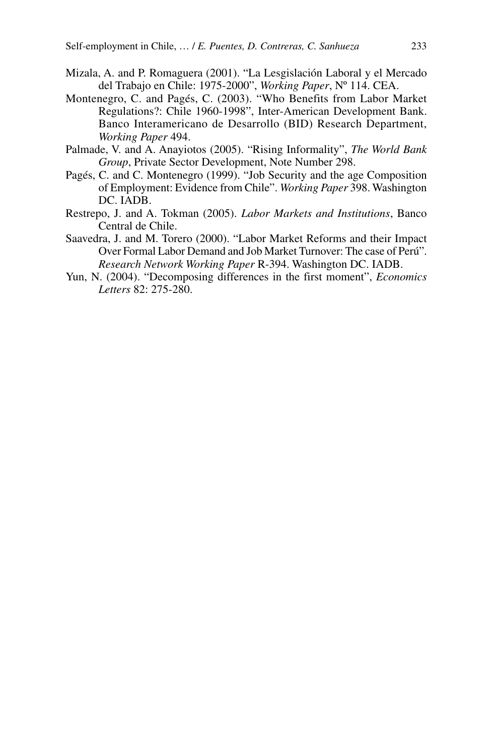- Mizala, A. and P. Romaguera (2001). "La Lesgislación Laboral y el Mercado del Trabajo en Chile: 1975-2000", *Working Paper*, Nº 114. CEA.
- Montenegro, C. and Pagés, C. (2003). "Who Benefits from Labor Market Regulations?: Chile 1960-1998", Inter-American Development Bank. Banco Interamericano de Desarrollo (BID) Research Department, *Working Paper* 494.
- Palmade, V. and A. Anayiotos (2005). "Rising Informality", *The World Bank Group*, Private Sector Development, Note Number 298.
- Pagés, C. and C. Montenegro (1999). "Job Security and the age Composition of Employment: Evidence from Chile". *Working Paper* 398. Washington DC. IADB.
- Restrepo, J. and A. Tokman (2005). *Labor Markets and Institutions*, Banco Central de Chile.
- Saavedra, J. and M. Torero (2000). "Labor Market Reforms and their Impact Over Formal Labor Demand and Job Market Turnover: The case of Perú". *Research Network Working Paper* R-394. Washington DC. IADB.
- Yun, N. (2004). "Decomposing differences in the first moment", *Economics Letters* 82: 275-280.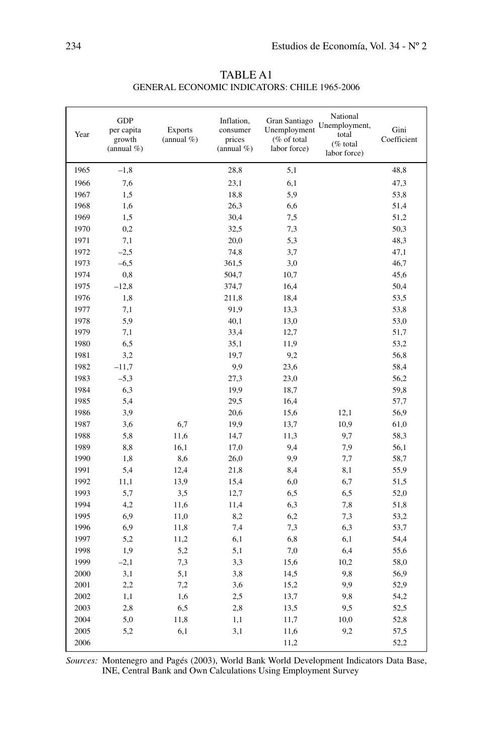| Year | <b>GDP</b><br>per capita<br>growth<br>(annual $%$ ) | <b>Exports</b><br>(annual $%$ ) | Inflation,<br>consumer<br>prices<br>(annual $%$ ) | Gran Santiago<br>Unemployment<br>(% of total<br>labor force) | National<br>Unemployment,<br>total<br>(% total<br>labor force) | Gini<br>Coefficient |
|------|-----------------------------------------------------|---------------------------------|---------------------------------------------------|--------------------------------------------------------------|----------------------------------------------------------------|---------------------|
| 1965 | $-1,8$                                              |                                 | 28,8                                              | 5,1                                                          |                                                                | 48,8                |
| 1966 | 7,6                                                 |                                 | 23,1                                              | 6,1                                                          |                                                                | 47,3                |
| 1967 | 1,5                                                 |                                 | 18,8                                              | 5,9                                                          |                                                                | 53,8                |
| 1968 | 1,6                                                 |                                 | 26,3                                              | 6,6                                                          |                                                                | 51,4                |
| 1969 | 1,5                                                 |                                 | 30,4                                              | 7,5                                                          |                                                                | 51,2                |
| 1970 | 0,2                                                 |                                 | 32,5                                              | 7,3                                                          |                                                                | 50,3                |
| 1971 | 7,1                                                 |                                 | 20,0                                              | 5,3                                                          |                                                                | 48,3                |
| 1972 | $-2,5$                                              |                                 | 74,8                                              | 3,7                                                          |                                                                | 47,1                |
| 1973 | $-6,5$                                              |                                 | 361,5                                             | 3,0                                                          |                                                                | 46,7                |
| 1974 | 0,8                                                 |                                 | 504,7                                             | 10,7                                                         |                                                                | 45,6                |
| 1975 | $-12,8$                                             |                                 | 374,7                                             | 16,4                                                         |                                                                | 50,4                |
| 1976 | 1,8                                                 |                                 | 211,8                                             | 18,4                                                         |                                                                | 53,5                |
| 1977 | 7,1                                                 |                                 | 91,9                                              | 13,3                                                         |                                                                | 53,8                |
| 1978 | 5,9                                                 |                                 | 40,1                                              | 13,0                                                         |                                                                | 53,0                |
| 1979 | 7,1                                                 |                                 | 33,4                                              | 12,7                                                         |                                                                | 51,7                |
| 1980 | 6,5                                                 |                                 | 35,1                                              | 11,9                                                         |                                                                | 53,2                |
| 1981 | 3,2                                                 |                                 | 19,7                                              | 9,2                                                          |                                                                | 56,8                |
| 1982 | $-11,7$                                             |                                 | 9,9                                               | 23,6                                                         |                                                                | 58,4                |
| 1983 | $-5,3$                                              |                                 | 27,3                                              | 23,0                                                         |                                                                | 56,2                |
| 1984 | 6,3                                                 |                                 | 19,9                                              | 18,7                                                         |                                                                | 59,8                |
| 1985 | 5,4                                                 |                                 | 29,5                                              | 16,4                                                         |                                                                | 57,7                |
| 1986 | 3,9                                                 |                                 | 20,6                                              | 15,6                                                         | 12,1                                                           | 56,9                |
| 1987 | 3,6                                                 | 6,7                             | 19,9                                              | 13,7                                                         | 10,9                                                           | 61,0                |
| 1988 | 5,8                                                 | 11,6                            | 14,7                                              | 11,3                                                         | 9,7                                                            | 58,3                |
| 1989 | 8,8                                                 | 16,1                            | 17,0                                              | 9,4                                                          | 7,9                                                            | 56,1                |
| 1990 | 1,8                                                 | 8,6                             | 26,0                                              | 9,9                                                          | 7,7                                                            | 58,7                |
| 1991 | 5,4                                                 | 12,4                            | 21,8                                              | 8,4                                                          | 8,1                                                            | 55,9                |
| 1992 | 11,1                                                | 13,9                            | 15,4                                              | 6,0                                                          | 6,7                                                            | 51,5                |
| 1993 | 5,7                                                 | 3,5                             | 12,7                                              | 6,5                                                          | 6,5                                                            | 52,0                |
| 1994 | 4,2                                                 | 11,6                            | 11,4                                              | 6,3                                                          | 7,8                                                            | 51,8                |
| 1995 | 6,9                                                 | 11,0                            | 8,2                                               | 6,2                                                          | 7,3                                                            | 53,2                |
| 1996 | 6,9                                                 | 11,8                            | 7,4                                               | 7,3                                                          | 6,3                                                            | 53,7                |
| 1997 | 5,2                                                 | 11,2                            | 6,1                                               | 6,8                                                          | 6,1                                                            | 54,4                |
| 1998 | 1,9                                                 | 5,2                             | 5,1                                               | 7,0                                                          | 6,4                                                            | 55,6                |
| 1999 | $-2,1$                                              | 7,3                             | 3,3                                               | 15,6                                                         | 10,2                                                           | 58,0                |
| 2000 | 3,1                                                 | 5,1                             | 3,8                                               | 14,5                                                         | 9,8                                                            | 56,9                |
| 2001 | 2,2                                                 | 7,2                             | 3,6                                               | 15,2                                                         | 9,9                                                            | 52,9                |
| 2002 | 1,1                                                 | 1,6                             | 2,5                                               | 13,7                                                         | 9,8                                                            | 54,2                |
| 2003 | 2,8                                                 | 6,5                             | 2,8                                               | 13,5                                                         | 9,5                                                            | 52,5                |
| 2004 | 5,0                                                 | 11,8                            | 1,1                                               | 11,7                                                         | 10,0                                                           | 52,8                |
| 2005 | 5,2                                                 | 6,1                             | 3,1                                               | 11,6                                                         | 9,2                                                            | 57,5                |
| 2006 |                                                     |                                 |                                                   | 11,2                                                         |                                                                | 52,2                |

Table A1 General Economic Indicators: Chile 1965-2006

*Sources:* Montenegro and Pagés (2003), World Bank World Development Indicators Data Base, INE, Central Bank and Own Calculations Using Employment Survey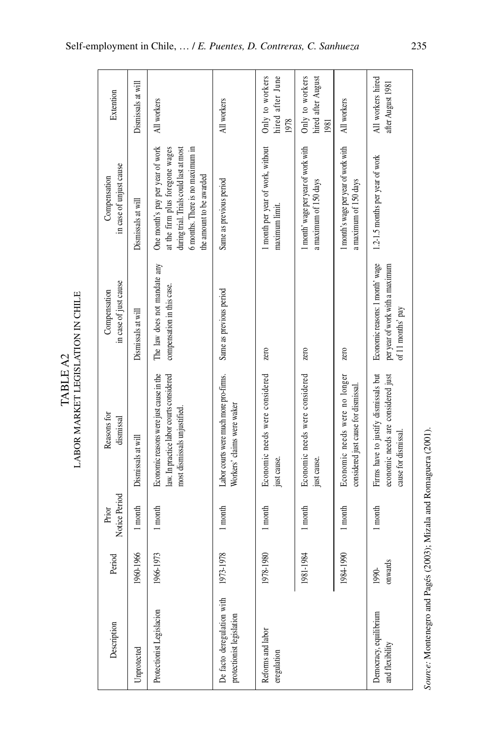| Description                                             | Period           | Notice Period<br>Prior | Reasons for<br>dismissal                                                                                            | in case of just cause<br>Compensation                                                   | in case of unjust cause<br>Compensation                                                                                                                                        | Extention                                     |
|---------------------------------------------------------|------------------|------------------------|---------------------------------------------------------------------------------------------------------------------|-----------------------------------------------------------------------------------------|--------------------------------------------------------------------------------------------------------------------------------------------------------------------------------|-----------------------------------------------|
| Unprotected                                             | 1960-1966        | 1 month                | Dismissals at will                                                                                                  | Dismissals at will                                                                      | Dismissals at will                                                                                                                                                             | Dismissals at will                            |
| Protectionist Legislacion                               | 1966-1973        | 1 month                | Economic reasons were just cause in the<br>law. In practice labor courts considered<br>most dismissals unjustified. | The law does not mandate any<br>compensation in this case.                              | One month's pay per year of work<br>at the firm plus foregone wages<br>6 months. There is no maximum in<br>during trial. Trials could last at most<br>the amount to be awarded | All workers                                   |
| De facto deregulation with<br>protectionist legislation | 1973-1978        | 1 month                | Labor courts were much more pro-firms.<br>Workers' claims were waker                                                | Same as previous period                                                                 | Same as previous period                                                                                                                                                        | All workers                                   |
| Reforms and labor<br>eregulation                        | 1978-1980        | 1 month                | Economic needs were considered<br>just cause.                                                                       | zero                                                                                    | 1 month per year of work, without<br>maximum limit                                                                                                                             | hired after June<br>Only to workers<br>1978   |
|                                                         | 1981-1984        | 1 month                | Economic needs were considered<br>just cause.                                                                       | zero                                                                                    | 1 month' wage per year of work with<br>a maximum of 150 days                                                                                                                   | Only to workers<br>hired after August<br>1981 |
|                                                         | 1984-1990        | 1 month                | Economic needs were no longer<br>considered just cause for dismissal                                                | zero                                                                                    | 1 month's wage per year of work with<br>a maximum of 150 days                                                                                                                  | All workers                                   |
| Democracy, equilibrium<br>and flexibility               | onwards<br>1990- | 1 month                | Firms have to justify dismissals but<br>economic needs are considered just<br>cause for dismissal.                  | Economic reasons: 1 month' wage<br>per year of work with a maximum<br>of 11 months' pay | 1.2-1.5 months per year of work                                                                                                                                                | All workers hired<br>after August 1981        |

TABLE A2<br>LABOR MARKET LEGISLATION IN CHILE Labor Market Legislation in Chile Table A2

Source: Montenegro and Pagés (2003); Mizala and Romaguera (2001). *Source:* Montenegro and Pagés (2003); Mizala and Romaguera (2001).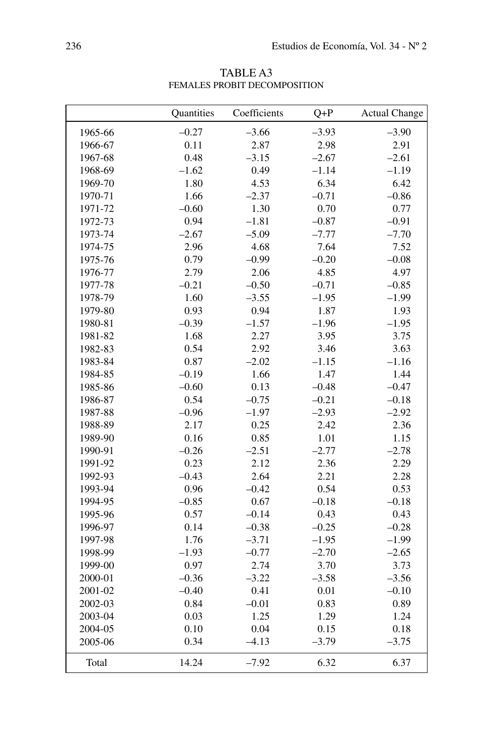|         | Quantities | Coefficients | $Q+P$   | <b>Actual Change</b> |
|---------|------------|--------------|---------|----------------------|
| 1965-66 | $-0.27$    | $-3.66$      | $-3.93$ | $-3.90$              |
| 1966-67 | 0.11       | 2.87         | 2.98    | 2.91                 |
| 1967-68 | 0.48       | $-3.15$      | $-2.67$ | $-2.61$              |
| 1968-69 | $-1.62$    | 0.49         | $-1.14$ | $-1.19$              |
| 1969-70 | 1.80       | 4.53         | 6.34    | 6.42                 |
| 1970-71 | 1.66       | $-2.37$      | $-0.71$ | $-0.86$              |
| 1971-72 | $-0.60$    | 1.30         | 0.70    | 0.77                 |
| 1972-73 | 0.94       | $-1.81$      | $-0.87$ | $-0.91$              |
| 1973-74 | $-2.67$    | $-5.09$      | $-7.77$ | $-7.70$              |
| 1974-75 | 2.96       | 4.68         | 7.64    | 7.52                 |
| 1975-76 | 0.79       | $-0.99$      | $-0.20$ | $-0.08$              |
| 1976-77 | 2.79       | 2.06         | 4.85    | 4.97                 |
| 1977-78 | $-0.21$    | $-0.50$      | $-0.71$ | $-0.85$              |
| 1978-79 | 1.60       | $-3.55$      | $-1.95$ | $-1.99$              |
| 1979-80 | 0.93       | 0.94         | 1.87    | 1.93                 |
| 1980-81 | $-0.39$    | $-1.57$      | $-1.96$ | $-1.95$              |
| 1981-82 | 1.68       | 2.27         | 3.95    | 3.75                 |
| 1982-83 | 0.54       | 2.92         | 3.46    | 3.63                 |
| 1983-84 | 0.87       | $-2.02$      | $-1.15$ | $-1.16$              |
| 1984-85 | $-0.19$    | 1.66         | 1.47    | 1.44                 |
| 1985-86 | $-0.60$    | 0.13         | $-0.48$ | $-0.47$              |
| 1986-87 | 0.54       | $-0.75$      | $-0.21$ | $-0.18$              |
| 1987-88 | $-0.96$    | $-1.97$      | $-2.93$ | $-2.92$              |
| 1988-89 | 2.17       | 0.25         | 2.42    | 2.36                 |
| 1989-90 | 0.16       | 0.85         | 1.01    | 1.15                 |
| 1990-91 | $-0.26$    | $-2.51$      | $-2.77$ | $-2.78$              |
| 1991-92 | 0.23       | 2.12         | 2.36    | 2.29                 |
| 1992-93 | $-0.43$    | 2.64         | 2.21    | 2.28                 |
| 1993-94 | 0.96       | $-0.42$      | 0.54    | 0.53                 |
| 1994-95 | $-0.85$    | 0.67         | $-0.18$ | $-0.18$              |
| 1995-96 | 0.57       | $-0.14$      | 0.43    | 0.43                 |
| 1996-97 | 0.14       | $-0.38$      | $-0.25$ | $-0.28$              |
| 1997-98 | 1.76       | $-3.71$      | $-1.95$ | $-1.99$              |
| 1998-99 | $-1.93$    | $-0.77$      | $-2.70$ | $-2.65$              |
| 1999-00 | 0.97       | 2.74         | 3.70    | 3.73                 |
| 2000-01 | $-0.36$    | $-3.22$      | $-3.58$ | $-3.56$              |
| 2001-02 | $-0.40$    | 0.41         | 0.01    | $-0.10$              |
| 2002-03 | 0.84       | $-0.01$      | 0.83    | 0.89                 |
| 2003-04 | 0.03       | 1.25         | 1.29    | 1.24                 |
| 2004-05 | 0.10       | 0.04         | 0.15    | 0.18                 |
| 2005-06 | 0.34       | $-4.13$      | $-3.79$ | $-3.75$              |
| Total   | 14.24      | $-7.92$      | 6.32    | 6.37                 |

TABLE A3 Females Probit Decomposition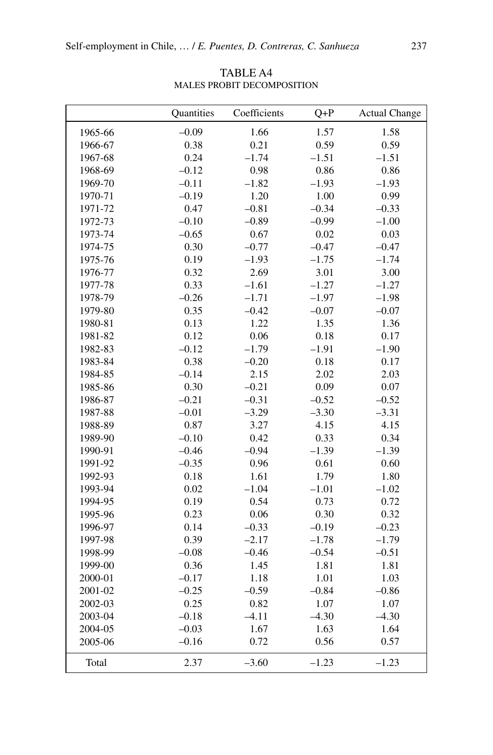|         | Quantities | Coefficients | $Q+P$   | <b>Actual Change</b> |
|---------|------------|--------------|---------|----------------------|
| 1965-66 | $-0.09$    | 1.66         | 1.57    | 1.58                 |
| 1966-67 | 0.38       | 0.21         | 0.59    | 0.59                 |
| 1967-68 | 0.24       | $-1.74$      | $-1.51$ | $-1.51$              |
| 1968-69 | $-0.12$    | 0.98         | 0.86    | 0.86                 |
| 1969-70 | $-0.11$    | $-1.82$      | $-1.93$ | $-1.93$              |
| 1970-71 | $-0.19$    | 1.20         | 1.00    | 0.99                 |
| 1971-72 | 0.47       | $-0.81$      | $-0.34$ | $-0.33$              |
| 1972-73 | $-0.10$    | $-0.89$      | $-0.99$ | $-1.00$              |
| 1973-74 | $-0.65$    | 0.67         | 0.02    | 0.03                 |
| 1974-75 | 0.30       | $-0.77$      | $-0.47$ | $-0.47$              |
| 1975-76 | 0.19       | $-1.93$      | $-1.75$ | $-1.74$              |
| 1976-77 | 0.32       | 2.69         | 3.01    | 3.00                 |
| 1977-78 | 0.33       | $-1.61$      | $-1.27$ | $-1.27$              |
| 1978-79 | $-0.26$    | $-1.71$      | $-1.97$ | $-1.98$              |
| 1979-80 | 0.35       | $-0.42$      | $-0.07$ | $-0.07$              |
| 1980-81 | 0.13       | 1.22         | 1.35    | 1.36                 |
| 1981-82 | 0.12       | 0.06         | 0.18    | 0.17                 |
| 1982-83 | $-0.12$    | $-1.79$      | $-1.91$ | $-1.90$              |
| 1983-84 | 0.38       | $-0.20$      | 0.18    | 0.17                 |
| 1984-85 | $-0.14$    | 2.15         | 2.02    | 2.03                 |
| 1985-86 | 0.30       | $-0.21$      | 0.09    | 0.07                 |
| 1986-87 | $-0.21$    | $-0.31$      | $-0.52$ | $-0.52$              |
| 1987-88 | $-0.01$    | $-3.29$      | $-3.30$ | $-3.31$              |
| 1988-89 | 0.87       | 3.27         | 4.15    | 4.15                 |
| 1989-90 | $-0.10$    | 0.42         | 0.33    | 0.34                 |
| 1990-91 | $-0.46$    | $-0.94$      | $-1.39$ | $-1.39$              |
| 1991-92 | $-0.35$    | 0.96         | 0.61    | 0.60                 |
| 1992-93 | 0.18       | 1.61         | 1.79    | 1.80                 |
| 1993-94 | 0.02       | $-1.04$      | $-1.01$ | $-1.02$              |
| 1994-95 | 0.19       | 0.54         | 0.73    | 0.72                 |
| 1995-96 | 0.23       | 0.06         | 0.30    | 0.32                 |
| 1996-97 | 0.14       | $-0.33$      | $-0.19$ | $-0.23$              |
| 1997-98 | 0.39       | $-2.17$      | $-1.78$ | $-1.79$              |
| 1998-99 | $-0.08$    | $-0.46$      | $-0.54$ | $-0.51$              |
| 1999-00 | 0.36       | 1.45         | 1.81    | 1.81                 |
| 2000-01 | $-0.17$    | 1.18         | 1.01    | 1.03                 |
| 2001-02 | $-0.25$    | $-0.59$      | $-0.84$ | $-0.86$              |
| 2002-03 | 0.25       | 0.82         | 1.07    | 1.07                 |
| 2003-04 | $-0.18$    | $-4.11$      | $-4.30$ | $-4.30$              |
| 2004-05 | $-0.03$    | 1.67         | 1.63    | 1.64                 |
| 2005-06 | $-0.16$    | 0.72         | 0.56    | 0.57                 |
| Total   | 2.37       | $-3.60$      | $-1.23$ | $-1.23$              |

TABLE A4 Males Probit Decomposition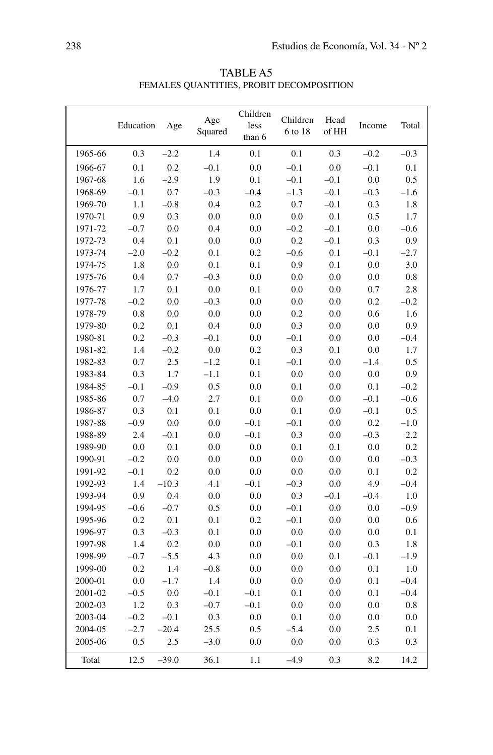|                   |          | FEMALES QUANTITIES, PROBIT DECOMPOSITION | <b>TABLE A5</b>            |                     |               |            |        |
|-------------------|----------|------------------------------------------|----------------------------|---------------------|---------------|------------|--------|
| Education         | Age      | Age<br>Squared                           | Children<br>less<br>than 6 | Children<br>6 to 18 | Head<br>of HH | Income     | Total  |
| 0.3               | $-2.2$   | 1.4                                      | 0.1                        | 0.1                 | 0.3           | $-0.2$     | $-0.3$ |
| 0.1               | 0.2      | $-0.1$                                   | 0.0                        | $-0.1$              | 0.0           | $-0.1$     | 0.1    |
| 1.6               | $-2.9$   | 1.9                                      | 0.1                        | $-0.1$              | $-0.1$        | 0.0        | 0.5    |
| $-0.1$            | 0.7      | $-0.3$                                   | $-0.4$                     | $-1.3$              | $-0.1$        | $-0.3$     | $-1.6$ |
| 1.1               | $-0.8$   | 0.4                                      | 0.2                        | 0.7                 | $-0.1$        | 0.3        | 1.8    |
| 0.9               | 0.3      | 0.0                                      | 0.0                        | 0.0                 | 0.1           | 0.5        | 1.7    |
| $-0.7$            | 0.0      | 0.4                                      | 0.0                        | $-0.2$              | $-0.1$        | 0.0        | $-0.6$ |
| 0.4               | 0.1      | 0.0                                      | 0.0                        | 0.2                 | $-0.1$        | 0.3        | 0.9    |
| $\gamma$ $\Omega$ | $\Omega$ | Λ1                                       | $\cap$ $\cap$              | <u>ሰፉ</u>           | $\Omega$ 1    | $\Omega$ 1 | 27     |

Table A5

|         |         |         |         | than 6  |         |         |         |        |
|---------|---------|---------|---------|---------|---------|---------|---------|--------|
| 1965-66 | 0.3     | $-2.2$  | 1.4     | 0.1     | 0.1     | 0.3     | $-0.2$  | $-0.3$ |
| 1966-67 | 0.1     | 0.2     | $-0.1$  | 0.0     | $-0.1$  | $0.0\,$ | $-0.1$  | 0.1    |
| 1967-68 | 1.6     | $-2.9$  | 1.9     | 0.1     | $-0.1$  | $-0.1$  | 0.0     | 0.5    |
| 1968-69 | $-0.1$  | $0.7\,$ | $-0.3$  | $-0.4$  | $-1.3$  | $-0.1$  | $-0.3$  | $-1.6$ |
| 1969-70 | $1.1\,$ | $-0.8$  | 0.4     | 0.2     | $0.7\,$ | $-0.1$  | 0.3     | 1.8    |
| 1970-71 | 0.9     | 0.3     | 0.0     | 0.0     | $0.0\,$ | 0.1     | 0.5     | 1.7    |
| 1971-72 | $-0.7$  | $0.0\,$ | 0.4     | 0.0     | $-0.2$  | $-0.1$  | $0.0\,$ | $-0.6$ |
| 1972-73 | 0.4     | $0.1\,$ | 0.0     | 0.0     | $0.2\,$ | $-0.1$  | 0.3     | 0.9    |
| 1973-74 | $-2.0$  | $-0.2$  | 0.1     | 0.2     | $-0.6$  | 0.1     | $-0.1$  | $-2.7$ |
| 1974-75 | 1.8     | $0.0\,$ | 0.1     | 0.1     | 0.9     | 0.1     | $0.0\,$ | 3.0    |
| 1975-76 | 0.4     | 0.7     | $-0.3$  | 0.0     | 0.0     | 0.0     | 0.0     | 0.8    |
| 1976-77 | 1.7     | 0.1     | 0.0     | 0.1     | 0.0     | $0.0\,$ | 0.7     | 2.8    |
| 1977-78 | $-0.2$  | $0.0\,$ | $-0.3$  | 0.0     | $0.0\,$ | 0.0     | 0.2     | $-0.2$ |
| 1978-79 | 0.8     | $0.0\,$ | 0.0     | 0.0     | 0.2     | 0.0     | 0.6     | 1.6    |
| 1979-80 | 0.2     | $0.1\,$ | 0.4     | 0.0     | 0.3     | $0.0\,$ | $0.0\,$ | 0.9    |
| 1980-81 | 0.2     | $-0.3$  | $-0.1$  | 0.0     | $-0.1$  | 0.0     | 0.0     | $-0.4$ |
| 1981-82 | 1.4     | $-0.2$  | 0.0     | 0.2     | 0.3     | 0.1     | $0.0\,$ | 1.7    |
| 1982-83 | 0.7     | 2.5     | $-1.2$  | 0.1     | $-0.1$  | $0.0\,$ | $-1.4$  | 0.5    |
| 1983-84 | 0.3     | 1.7     | $-1.1$  | 0.1     | 0.0     | 0.0     | $0.0\,$ | 0.9    |
| 1984-85 | $-0.1$  | $-0.9$  | 0.5     | 0.0     | 0.1     | 0.0     | 0.1     | $-0.2$ |
| 1985-86 | 0.7     | $-4.0$  | 2.7     | 0.1     | 0.0     | $0.0\,$ | $-0.1$  | $-0.6$ |
| 1986-87 | 0.3     | 0.1     | 0.1     | 0.0     | 0.1     | $0.0\,$ | $-0.1$  | 0.5    |
| 1987-88 | $-0.9$  | $0.0\,$ | 0.0     | $-0.1$  | $-0.1$  | $0.0\,$ | 0.2     | $-1.0$ |
| 1988-89 | 2.4     | $-0.1$  | 0.0     | $-0.1$  | 0.3     | 0.0     | $-0.3$  | 2.2    |
| 1989-90 | 0.0     | $0.1\,$ | $0.0\,$ | 0.0     | 0.1     | 0.1     | $0.0\,$ | 0.2    |
| 1990-91 | $-0.2$  | $0.0\,$ | 0.0     | 0.0     | 0.0     | $0.0\,$ | $0.0\,$ | $-0.3$ |
| 1991-92 | $-0.1$  | 0.2     | 0.0     | 0.0     | $0.0\,$ | 0.0     | 0.1     | 0.2    |
| 1992-93 | 1.4     | $-10.3$ | 4.1     | $-0.1$  | $-0.3$  | $0.0\,$ | 4.9     | $-0.4$ |
| 1993-94 | 0.9     | 0.4     | 0.0     | 0.0     | 0.3     | $-0.1$  | $-0.4$  | 1.0    |
| 1994-95 | $-0.6$  | $-0.7$  | 0.5     | 0.0     | $-0.1$  | $0.0\,$ | $0.0\,$ | $-0.9$ |
| 1995-96 | 0.2     | 0.1     | 0.1     | 0.2     | $-0.1$  | 0.0     | 0.0     | 0.6    |
| 1996-97 | 0.3     | $-0.3$  | 0.1     | $0.0\,$ | $0.0\,$ | 0.0     | $0.0\,$ | 0.1    |
| 1997-98 | 1.4     | 0.2     | 0.0     | 0.0     | $-0.1$  | 0.0     | 0.3     | 1.8    |
| 1998-99 | $-0.7$  | $-5.5$  | 4.3     | 0.0     | 0.0     | 0.1     | $-0.1$  | $-1.9$ |
| 1999-00 | 0.2     | 1.4     | $-0.8$  | 0.0     | 0.0     | $0.0\,$ | 0.1     | 1.0    |
| 2000-01 | $0.0\,$ | $-1.7$  | 1.4     | 0.0     | 0.0     | 0.0     | 0.1     | $-0.4$ |
| 2001-02 | $-0.5$  | $0.0\,$ | $-0.1$  | $-0.1$  | 0.1     | $0.0\,$ | 0.1     | $-0.4$ |
| 2002-03 | 1.2     | 0.3     | $-0.7$  | $-0.1$  | 0.0     | 0.0     | $0.0\,$ | 0.8    |
| 2003-04 | $-0.2$  | $-0.1$  | 0.3     | 0.0     | 0.1     | 0.0     | 0.0     | 0.0    |
| 2004-05 | $-2.7$  | $-20.4$ | 25.5    | 0.5     | $-5.4$  | 0.0     | 2.5     | 0.1    |
| 2005-06 | 0.5     | $2.5\,$ | $-3.0$  | 0.0     | 0.0     | 0.0     | 0.3     | 0.3    |
| Total   | 12.5    | $-39.0$ | 36.1    | 1.1     | $-4.9$  | 0.3     | 8.2     | 14.2   |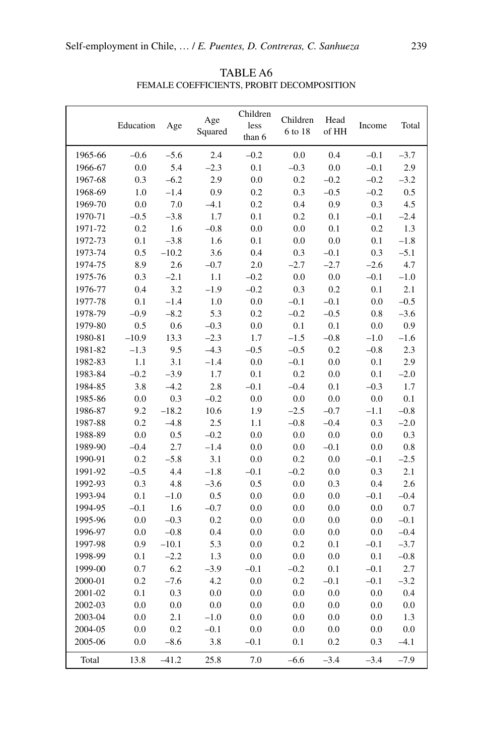|         | Education | Age     | Age<br>Squared | Children<br>less<br>than 6 | Children<br>6 to 18 | Head<br>of HH | Income  | Total   |
|---------|-----------|---------|----------------|----------------------------|---------------------|---------------|---------|---------|
| 1965-66 | $-0.6$    | $-5.6$  | 2.4            | $-0.2$                     | 0.0                 | 0.4           | $-0.1$  | $-3.7$  |
| 1966-67 | 0.0       | 5.4     | $-2.3$         | 0.1                        | $-0.3$              | 0.0           | $-0.1$  | 2.9     |
| 1967-68 | 0.3       | $-6.2$  | 2.9            | 0.0                        | 0.2                 | $-0.2$        | $-0.2$  | $-3.2$  |
| 1968-69 | 1.0       | $-1.4$  | 0.9            | 0.2                        | 0.3                 | $-0.5$        | $-0.2$  | 0.5     |
| 1969-70 | 0.0       | 7.0     | $-4.1$         | 0.2                        | 0.4                 | $0.9\,$       | 0.3     | 4.5     |
| 1970-71 | $-0.5$    | $-3.8$  | 1.7            | 0.1                        | 0.2                 | 0.1           | $-0.1$  | $-2.4$  |
| 1971-72 | 0.2       | 1.6     | $-0.8$         | 0.0                        | 0.0                 | 0.1           | 0.2     | 1.3     |
| 1972-73 | 0.1       | $-3.8$  | 1.6            | 0.1                        | 0.0                 | $0.0\,$       | 0.1     | $-1.8$  |
| 1973-74 | 0.5       | $-10.2$ | 3.6            | 0.4                        | 0.3                 | $-0.1$        | 0.3     | $-5.1$  |
| 1974-75 | 8.9       | 2.6     | $-0.7$         | 2.0                        | $-2.7$              | $-2.7$        | $-2.6$  | 4.7     |
| 1975-76 | 0.3       | $-2.1$  | $1.1\,$        | $-0.2$                     | 0.0                 | 0.0           | $-0.1$  | $-1.0$  |
| 1976-77 | 0.4       | 3.2     | $-1.9$         | $-0.2$                     | 0.3                 | 0.2           | 0.1     | 2.1     |
| 1977-78 | 0.1       | $-1.4$  | 1.0            | 0.0                        | $-0.1$              | $-0.1$        | 0.0     | $-0.5$  |
| 1978-79 | $-0.9$    | $-8.2$  | 5.3            | 0.2                        | $-0.2$              | $-0.5$        | 0.8     | $-3.6$  |
| 1979-80 | 0.5       | 0.6     | $-0.3$         | 0.0                        | 0.1                 | 0.1           | 0.0     | 0.9     |
| 1980-81 | $-10.9$   | 13.3    | $-2.3$         | 1.7                        | $-1.5$              | $-0.8$        | $-1.0$  | $-1.6$  |
| 1981-82 | $-1.3$    | 9.5     | $-4.3$         | $-0.5$                     | $-0.5$              | 0.2           | $-0.8$  | 2.3     |
| 1982-83 | 1.1       | 3.1     | $-1.4$         | $0.0\,$                    | $-0.1$              | $0.0\,$       | 0.1     | 2.9     |
| 1983-84 | $-0.2$    | $-3.9$  | 1.7            | 0.1                        | 0.2                 | $0.0\,$       | 0.1     | $-2.0$  |
| 1984-85 | 3.8       | $-4.2$  | 2.8            | $-0.1$                     | $-0.4$              | 0.1           | $-0.3$  | 1.7     |
| 1985-86 | $0.0\,$   | 0.3     | $-0.2$         | $0.0\,$                    | 0.0                 | $0.0\,$       | 0.0     | 0.1     |
| 1986-87 | 9.2       | $-18.2$ | 10.6           | 1.9                        | $-2.5$              | $-0.7$        | $-1.1$  | $-0.8$  |
| 1987-88 | 0.2       | $-4.8$  | 2.5            | 1.1                        | $-0.8$              | $-0.4$        | 0.3     | $-2.0$  |
| 1988-89 | 0.0       | 0.5     | $-0.2$         | 0.0                        | 0.0                 | 0.0           | 0.0     | 0.3     |
| 1989-90 | $-0.4$    | 2.7     | $-1.4$         | 0.0                        | 0.0                 | $-0.1$        | $0.0\,$ | 0.8     |
| 1990-91 | 0.2       | $-5.8$  | 3.1            | $0.0\,$                    | $0.2\,$             | 0.0           | $-0.1$  | $-2.5$  |
| 1991-92 | $-0.5$    | 4.4     | $-1.8$         | $-0.1$                     | $-0.2$              | 0.0           | 0.3     | 2.1     |
| 1992-93 | 0.3       | 4.8     | $-3.6$         | 0.5                        | $0.0\,$             | 0.3           | 0.4     | 2.6     |
| 1993-94 | 0.1       | $-1.0$  | 0.5            | $0.0\,$                    | 0.0                 | $0.0\,$       | $-0.1$  | $-0.4$  |
| 1994-95 | $-0.1$    | 1.6     | $-0.7$         | 0.0                        | 0.0                 | $0.0\,$       | 0.0     | $0.7\,$ |
| 1995-96 | 0.0       | $-0.3$  | 0.2            | 0.0                        | 0.0                 | $0.0\,$       | 0.0     | $-0.1$  |
| 1996-97 | 0.0       | $-0.8$  | 0.4            | $0.0\,$                    | 0.0                 | $0.0\,$       | 0.0     | $-0.4$  |
| 1997-98 | 0.9       | $-10.1$ | 5.3            | 0.0                        | $0.2\,$             | 0.1           | $-0.1$  | $-3.7$  |
| 1998-99 | 0.1       | $-2.2$  | 1.3            | 0.0                        | 0.0                 | 0.0           | 0.1     | $-0.8$  |
| 1999-00 | 0.7       | 6.2     | $-3.9$         | $-0.1$                     | $-0.2$              | 0.1           | $-0.1$  | 2.7     |
| 2000-01 | 0.2       | $-7.6$  | 4.2            | 0.0                        | 0.2                 | $-0.1$        | $-0.1$  | $-3.2$  |
| 2001-02 | 0.1       | 0.3     | 0.0            | 0.0                        | 0.0                 | $0.0\,$       | $0.0\,$ | 0.4     |
| 2002-03 | 0.0       | 0.0     | 0.0            | 0.0                        | 0.0                 | 0.0           | 0.0     | 0.0     |
| 2003-04 | 0.0       | 2.1     | $-1.0$         | 0.0                        | 0.0                 | 0.0           | 0.0     | 1.3     |
| 2004-05 | $0.0\,$   | 0.2     | $-0.1$         | $0.0\,$                    | 0.0                 | $0.0\,$       | 0.0     | 0.0     |
| 2005-06 | 0.0       | $-8.6$  | 3.8            | $-0.1$                     | 0.1                 | 0.2           | 0.3     | $-4.1$  |
| Total   | 13.8      | $-41.2$ | 25.8           | 7.0                        | $-6.6$              | $-3.4$        | $-3.4$  | $-7.9$  |

TABLE A6 Female Coefficients, Probit Decomposition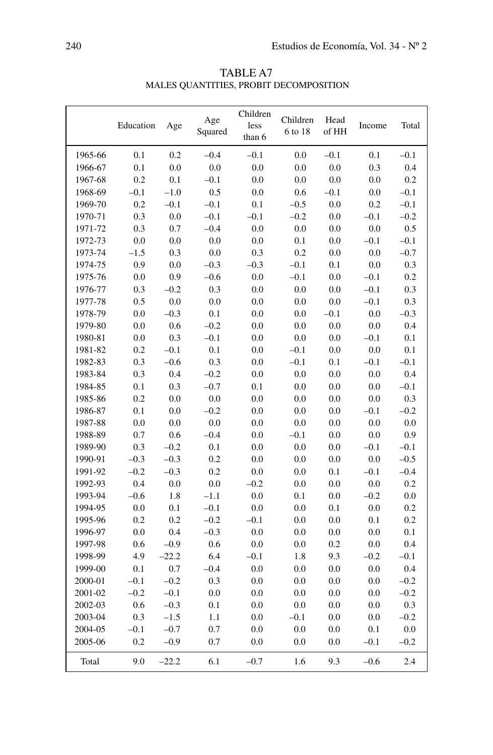|                    | Education  | Age           | Age<br>Squared | Children<br>less<br>than 6 | Children<br>6 to 18 | Head<br>of HH | Income        | Total      |
|--------------------|------------|---------------|----------------|----------------------------|---------------------|---------------|---------------|------------|
| 1965-66            | 0.1        | 0.2           | $-0.4$         | $-0.1$                     | 0.0                 | $-0.1$        | 0.1           | $-0.1$     |
| 1966-67            | 0.1        | 0.0           | 0.0            | 0.0                        | 0.0                 | 0.0           | 0.3           | 0.4        |
| 1967-68            | 0.2        | 0.1           | $-0.1$         | 0.0                        | 0.0                 | 0.0           | 0.0           | 0.2        |
| 1968-69            | $-0.1$     | $-1.0$        | 0.5            | 0.0                        | 0.6                 | $-0.1$        | 0.0           | $-0.1$     |
| 1969-70            | 0.2        | $-0.1$        | $-0.1$         | 0.1                        | $-0.5$              | 0.0           | 0.2           | $-0.1$     |
| 1970-71            | 0.3        | 0.0           | $-0.1$         | $-0.1$                     | $-0.2$              | 0.0           | $-0.1$        | $-0.2$     |
| 1971-72            | 0.3        | 0.7           | $-0.4$         | 0.0                        | 0.0                 | 0.0           | 0.0           | 0.5        |
| 1972-73            | 0.0        | 0.0           | 0.0            | 0.0                        | 0.1                 | 0.0           | $-0.1$        | $-0.1$     |
| 1973-74            | $-1.5$     | 0.3           | 0.0            | 0.3                        | 0.2                 | 0.0           | 0.0           | $-0.7$     |
| 1974-75            | 0.9        | 0.0           | $-0.3$         | $-0.3$                     | $-0.1$              | 0.1           | 0.0           | 0.3        |
| 1975-76            | 0.0        | 0.9           | $-0.6$         | 0.0                        | $-0.1$              | 0.0           | $-0.1$        | 0.2        |
| 1976-77            | 0.3        | $-0.2$        | 0.3            | 0.0                        | 0.0                 | 0.0           | $-0.1$        | 0.3        |
| 1977-78            | 0.5        | 0.0           | 0.0            | 0.0                        | 0.0                 | 0.0           | $-0.1$        | 0.3        |
| 1978-79            | 0.0        | $-0.3$        | 0.1            | 0.0                        | 0.0                 | $-0.1$        | 0.0           | $-0.3$     |
| 1979-80            | 0.0        | 0.6           | $-0.2$         | 0.0                        | 0.0                 | 0.0           | 0.0           | 0.4        |
| 1980-81            | 0.0        | 0.3           | $-0.1$         | 0.0                        | 0.0                 | 0.0           | $-0.1$        | 0.1        |
| 1981-82            | 0.2        | $-0.1$        | 0.1            | 0.0                        | $-0.1$              | 0.0           | 0.0           | 0.1        |
| 1982-83            | 0.3        | $-0.6$        | 0.3            | 0.0                        | $-0.1$              | 0.1           | $-0.1$        | $-0.1$     |
| 1983-84            | 0.3        | 0.4           | $-0.2$         | 0.0                        | 0.0                 | 0.0           | 0.0           | 0.4        |
| 1984-85            | 0.1        | 0.3           | $-0.7$         | 0.1                        | 0.0                 | 0.0           | 0.0           | $-0.1$     |
| 1985-86            | 0.2        | 0.0           | 0.0            | 0.0                        | 0.0                 | 0.0           | 0.0           | 0.3        |
| 1986-87            | 0.1        | 0.0           | $-0.2$         | 0.0                        | 0.0                 | 0.0           | $-0.1$        | $-0.2$     |
| 1987-88            | 0.0        | 0.0           | 0.0<br>$-0.4$  | 0.0                        | 0.0                 | 0.0           | 0.0           | 0.0<br>0.9 |
| 1988-89<br>1989-90 | 0.7<br>0.3 | 0.6<br>$-0.2$ | 0.1            | 0.0<br>0.0                 | $-0.1$<br>0.0       | 0.0<br>0.0    | 0.0<br>$-0.1$ | $-0.1$     |
| 1990-91            | $-0.3$     | $-0.3$        | 0.2            | 0.0                        | 0.0                 | 0.0           | 0.0           | $-0.5$     |
| 1991-92            | $-0.2$     | $-0.3$        | 0.2            | 0.0                        | 0.0                 | 0.1           | $-0.1$        | $-0.4$     |
| 1992-93            | 0.4        | 0.0           | 0.0            | $-0.2$                     | 0.0                 | 0.0           | 0.0           | 0.2        |
| 1993-94            | $-0.6$     | 1.8           | $-1.1$         | 0.0                        | 0.1                 | 0.0           | $-0.2$        | 0.0        |
| 1994-95            | 0.0        | 0.1           | $-0.1$         | 0.0                        | 0.0                 | 0.1           | 0.0           | 0.2        |
| 1995-96            | 0.2        | 0.2           | $-0.2$         | $-0.1$                     | 0.0                 | 0.0           | 0.1           | 0.2        |
| 1996-97            | 0.0        | 0.4           | $-0.3$         | 0.0                        | 0.0                 | 0.0           | 0.0           | 0.1        |
| 1997-98            | 0.6        | $-0.9$        | 0.6            | 0.0                        | 0.0                 | 0.2           | 0.0           | 0.4        |
| 1998-99            | 4.9        | $-22.2$       | 6.4            | $-0.1$                     | 1.8                 | 9.3           | $-0.2$        | $-0.1$     |
| 1999-00            | 0.1        | 0.7           | $-0.4$         | 0.0                        | 0.0                 | 0.0           | 0.0           | 0.4        |
| 2000-01            | $-0.1$     | $-0.2$        | 0.3            | 0.0                        | 0.0                 | 0.0           | 0.0           | $-0.2$     |
| 2001-02            | $-0.2$     | $-0.1$        | 0.0            | 0.0                        | 0.0                 | 0.0           | 0.0           | $-0.2$     |
| 2002-03            | 0.6        | $-0.3$        | 0.1            | 0.0                        | 0.0                 | 0.0           | 0.0           | 0.3        |
| 2003-04            | 0.3        | $-1.5$        | 1.1            | 0.0                        | $-0.1$              | 0.0           | 0.0           | $-0.2$     |
| 2004-05            | $-0.1$     | $-0.7$        | 0.7            | 0.0                        | 0.0                 | 0.0           | 0.1           | 0.0        |
| 2005-06            | 0.2        | $-0.9$        | 0.7            | 0.0                        | 0.0                 | 0.0           | $-0.1$        | $-0.2$     |
| Total              | 9.0        | $-22.2$       | 6.1            | $-0.7$                     | 1.6                 | 9.3           | $-0.6$        | 2.4        |

TABLE A7 Males Quantities, Probit Decomposition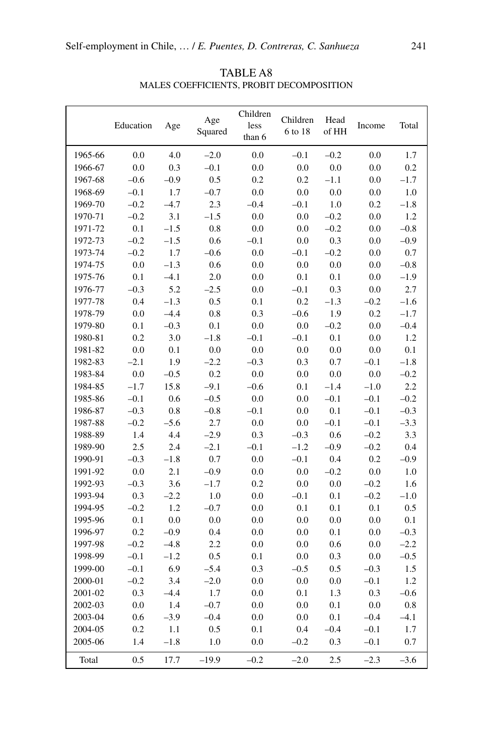|         | Education | Age     | Age<br>Squared | Children<br>less<br>than 6 | Children<br>6 to 18 | Head<br>of HH | Income  | Total   |
|---------|-----------|---------|----------------|----------------------------|---------------------|---------------|---------|---------|
| 1965-66 | 0.0       | 4.0     | $-2.0$         | 0.0                        | $-0.1$              | $-0.2$        | 0.0     | 1.7     |
| 1966-67 | 0.0       | 0.3     | $-0.1$         | 0.0                        | 0.0                 | 0.0           | 0.0     | 0.2     |
| 1967-68 | $-0.6$    | $-0.9$  | 0.5            | 0.2                        | 0.2                 | $-1.1$        | 0.0     | $-1.7$  |
| 1968-69 | $-0.1$    | 1.7     | $-0.7$         | 0.0                        | 0.0                 | 0.0           | $0.0\,$ | $1.0\,$ |
| 1969-70 | $-0.2$    | $-4.7$  | 2.3            | $-0.4$                     | $-0.1$              | $1.0\,$       | 0.2     | $-1.8$  |
| 1970-71 | $-0.2$    | 3.1     | $-1.5$         | 0.0                        | 0.0                 | $-0.2$        | 0.0     | 1.2     |
| 1971-72 | 0.1       | $-1.5$  | $0.8\,$        | 0.0                        | 0.0                 | $-0.2$        | 0.0     | $-0.8$  |
| 1972-73 | $-0.2$    | $-1.5$  | 0.6            | $-0.1$                     | 0.0                 | 0.3           | 0.0     | $-0.9$  |
| 1973-74 | $-0.2$    | 1.7     | $-0.6$         | 0.0                        | $-0.1$              | $-0.2$        | 0.0     | 0.7     |
| 1974-75 | $0.0\,$   | $-1.3$  | 0.6            | 0.0                        | 0.0                 | 0.0           | 0.0     | $-0.8$  |
| 1975-76 | 0.1       | $-4.1$  | 2.0            | 0.0                        | 0.1                 | 0.1           | 0.0     | $-1.9$  |
| 1976-77 | $-0.3$    | 5.2     | $-2.5$         | 0.0                        | $-0.1$              | 0.3           | $0.0\,$ | 2.7     |
| 1977-78 | 0.4       | $-1.3$  | 0.5            | 0.1                        | 0.2                 | $-1.3$        | $-0.2$  | $-1.6$  |
| 1978-79 | 0.0       | $-4.4$  | 0.8            | 0.3                        | $-0.6$              | 1.9           | 0.2     | $-1.7$  |
| 1979-80 | 0.1       | $-0.3$  | 0.1            | 0.0                        | 0.0                 | $-0.2$        | 0.0     | $-0.4$  |
| 1980-81 | 0.2       | 3.0     | $-1.8$         | $-0.1$                     | $-0.1$              | 0.1           | $0.0\,$ | 1.2     |
| 1981-82 | $0.0\,$   | 0.1     | $0.0\,$        | 0.0                        | 0.0                 | 0.0           | 0.0     | 0.1     |
| 1982-83 | $-2.1$    | 1.9     | $-2.2$         | $-0.3$                     | 0.3                 | 0.7           | $-0.1$  | $-1.8$  |
| 1983-84 | 0.0       | $-0.5$  | 0.2            | 0.0                        | 0.0                 | 0.0           | 0.0     | $-0.2$  |
| 1984-85 | $-1.7$    | 15.8    | $-9.1$         | $-0.6$                     | 0.1                 | $-1.4$        | $-1.0$  | 2.2     |
| 1985-86 | $-0.1$    | 0.6     | $-0.5$         | 0.0                        | 0.0                 | $-0.1$        | $-0.1$  | $-0.2$  |
| 1986-87 | $-0.3$    | $0.8\,$ | $-0.8$         | $-0.1$                     | 0.0                 | 0.1           | $-0.1$  | $-0.3$  |
| 1987-88 | $-0.2$    | $-5.6$  | 2.7            | 0.0                        | 0.0                 | $-0.1$        | $-0.1$  | $-3.3$  |
| 1988-89 | 1.4       | 4.4     | $-2.9$         | 0.3                        | $-0.3$              | 0.6           | $-0.2$  | 3.3     |
| 1989-90 | 2.5       | 2.4     | $-2.1$         | $-0.1$                     | $-1.2$              | $-0.9$        | $-0.2$  | 0.4     |
| 1990-91 | $-0.3$    | $-1.8$  | 0.7            | 0.0                        | $-0.1$              | 0.4           | $0.2\,$ | $-0.9$  |
| 1991-92 | 0.0       | 2.1     | $-0.9$         | 0.0                        | 0.0                 | $-0.2$        | 0.0     | 1.0     |
| 1992-93 | $-0.3$    | 3.6     | $-1.7$         | 0.2                        | $0.0\,$             | 0.0           | $-0.2$  | 1.6     |
| 1993-94 | 0.3       | $-2.2$  | $1.0\,$        | 0.0                        | $-0.1$              | 0.1           | $-0.2$  | $-1.0$  |
| 1994-95 | $-0.2$    | 1.2     | $-0.7$         | 0.0                        | 0.1                 | 0.1           | 0.1     | 0.5     |
| 1995-96 | 0.1       | 0.0     | 0.0            | 0.0                        | 0.0                 | 0.0           | 0.0     | 0.1     |
| 1996-97 | 0.2       | $-0.9$  | 0.4            | 0.0                        | 0.0                 | 0.1           | 0.0     | $-0.3$  |
| 1997-98 | $-0.2$    | $-4.8$  | 2.2            | 0.0                        | 0.0                 | 0.6           | 0.0     | $-2.2$  |
| 1998-99 | $-0.1$    | $-1.2$  | 0.5            | 0.1                        | $0.0\,$             | 0.3           | 0.0     | $-0.5$  |
| 1999-00 | $-0.1$    | 6.9     | $-5.4$         | 0.3                        | $-0.5$              | 0.5           | $-0.3$  | 1.5     |
| 2000-01 | $-0.2$    | 3.4     | $-2.0$         | 0.0                        | 0.0                 | 0.0           | $-0.1$  | 1.2     |
| 2001-02 | 0.3       | $-4.4$  | 1.7            | 0.0                        | 0.1                 | 1.3           | 0.3     | $-0.6$  |
| 2002-03 | $0.0\,$   | 1.4     | $-0.7$         | 0.0                        | 0.0                 | 0.1           | $0.0\,$ | $0.8\,$ |
| 2003-04 | 0.6       | $-3.9$  | $-0.4$         | 0.0                        | 0.0                 | 0.1           | $-0.4$  | $-4.1$  |
| 2004-05 | 0.2       | 1.1     | 0.5            | 0.1                        | 0.4                 | $-0.4$        | $-0.1$  | $1.7\,$ |
| 2005-06 | 1.4       | $-1.8$  | $1.0\,$        | 0.0                        | $-0.2$              | 0.3           | $-0.1$  | 0.7     |
| Total   | 0.5       | 17.7    | $-19.9$        | $-0.2$                     | $-2.0$              | 2.5           | $-2.3$  | $-3.6$  |

TABLE A8 Males Coefficients, Probit Decomposition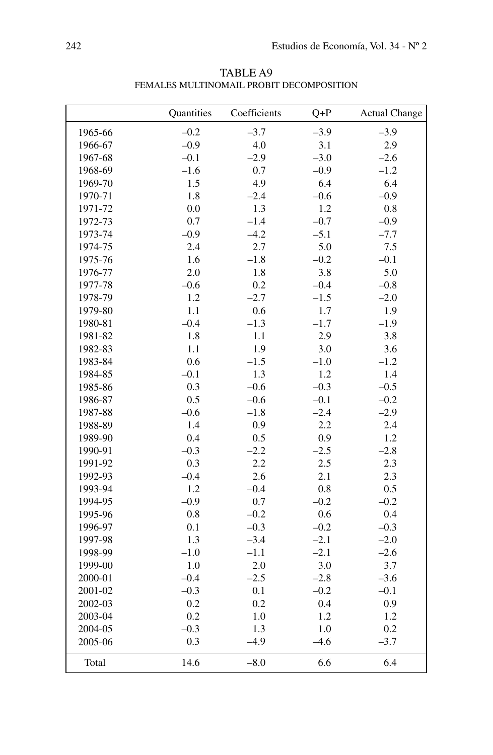|         | Quantities | Coefficients | $Q+P$   | <b>Actual Change</b> |
|---------|------------|--------------|---------|----------------------|
| 1965-66 | $-0.2$     | $-3.7$       | $-3.9$  | $-3.9$               |
| 1966-67 | $-0.9$     | 4.0          | 3.1     | 2.9                  |
| 1967-68 | $-0.1$     | $-2.9$       | $-3.0$  | $-2.6$               |
| 1968-69 | $-1.6$     | 0.7          | $-0.9$  | $-1.2$               |
| 1969-70 | 1.5        | 4.9          | 6.4     | 6.4                  |
| 1970-71 | 1.8        | $-2.4$       | $-0.6$  | $-0.9$               |
| 1971-72 | 0.0        | 1.3          | 1.2     | 0.8                  |
| 1972-73 | 0.7        | $-1.4$       | $-0.7$  | $-0.9$               |
| 1973-74 | $-0.9$     | $-4.2$       | $-5.1$  | $-7.7$               |
| 1974-75 | 2.4        | 2.7          | 5.0     | 7.5                  |
| 1975-76 | 1.6        | $-1.8$       | $-0.2$  | $-0.1$               |
| 1976-77 | 2.0        | 1.8          | 3.8     | 5.0                  |
| 1977-78 | $-0.6$     | 0.2          | $-0.4$  | $-0.8$               |
| 1978-79 | 1.2        | $-2.7$       | $-1.5$  | $-2.0$               |
| 1979-80 | 1.1        | 0.6          | 1.7     | 1.9                  |
| 1980-81 | $-0.4$     | $-1.3$       | $-1.7$  | $-1.9$               |
| 1981-82 | 1.8        | $1.1\,$      | 2.9     | 3.8                  |
| 1982-83 | 1.1        | 1.9          | 3.0     | 3.6                  |
| 1983-84 | 0.6        | $-1.5$       | $-1.0$  | $-1.2$               |
| 1984-85 | $-0.1$     | 1.3          | $1.2\,$ | 1.4                  |
| 1985-86 | 0.3        | $-0.6$       | $-0.3$  | $-0.5$               |
| 1986-87 | 0.5        | $-0.6$       | $-0.1$  | $-0.2$               |
| 1987-88 | $-0.6$     | $-1.8$       | $-2.4$  | $-2.9$               |
| 1988-89 | 1.4        | 0.9          | 2.2     | 2.4                  |
| 1989-90 | 0.4        | 0.5          | 0.9     | 1.2                  |
| 1990-91 | $-0.3$     | $-2.2$       | $-2.5$  | $-2.8$               |
| 1991-92 | 0.3        | 2.2          | 2.5     | 2.3                  |
| 1992-93 | $-0.4$     | 2.6          | 2.1     | 2.3                  |
| 1993-94 | 1.2        | $-0.4$       | 0.8     | 0.5                  |
| 1994-95 | $-0.9$     | 0.7          | $-0.2$  | $-0.2$               |
| 1995-96 | 0.8        | $-0.2$       | 0.6     | 0.4                  |
| 1996-97 | 0.1        | $-0.3$       | $-0.2$  | $-0.3$               |
| 1997-98 | 1.3        | $-3.4$       | $-2.1$  | $-2.0$               |
| 1998-99 | $-1.0$     | $-1.1$       | $-2.1$  | $-2.6$               |
| 1999-00 | 1.0        | 2.0          | 3.0     | 3.7                  |
| 2000-01 | $-0.4$     | $-2.5$       | $-2.8$  | $-3.6$               |
| 2001-02 | $-0.3$     | 0.1          | $-0.2$  | $-0.1$               |
| 2002-03 | 0.2        | 0.2          | 0.4     | 0.9                  |
| 2003-04 | 0.2        | $1.0\,$      | 1.2     | 1.2                  |
| 2004-05 | $-0.3$     | 1.3          | 1.0     | 0.2                  |
| 2005-06 | 0.3        | $-4.9$       | $-4.6$  | $-3.7$               |
| Total   | 14.6       | $-8.0$       | 6.6     | 6.4                  |

TABLE A9 Females Multinomail Probit Decomposition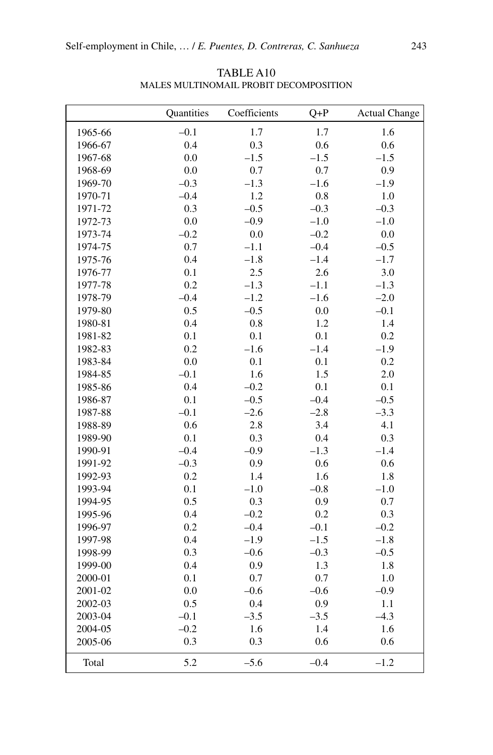|         | Quantities | Coefficients | $Q + P$ | <b>Actual Change</b> |
|---------|------------|--------------|---------|----------------------|
| 1965-66 | $-0.1$     | 1.7          | 1.7     | 1.6                  |
| 1966-67 | 0.4        | 0.3          | 0.6     | 0.6                  |
| 1967-68 | 0.0        | $-1.5$       | $-1.5$  | $-1.5$               |
| 1968-69 | 0.0        | 0.7          | 0.7     | 0.9                  |
| 1969-70 | $-0.3$     | $-1.3$       | $-1.6$  | $-1.9$               |
| 1970-71 | $-0.4$     | 1.2          | 0.8     | 1.0                  |
| 1971-72 | 0.3        | $-0.5$       | $-0.3$  | $-0.3$               |
| 1972-73 | 0.0        | $-0.9$       | $-1.0$  | $-1.0$               |
| 1973-74 | $-0.2$     | 0.0          | $-0.2$  | 0.0                  |
| 1974-75 | 0.7        | $-1.1$       | $-0.4$  | $-0.5$               |
| 1975-76 | 0.4        | $-1.8$       | $-1.4$  | $-1.7$               |
| 1976-77 | 0.1        | 2.5          | 2.6     | 3.0                  |
| 1977-78 | 0.2        | $-1.3$       | $-1.1$  | $-1.3$               |
| 1978-79 | $-0.4$     | $-1.2$       | $-1.6$  | $-2.0$               |
| 1979-80 | 0.5        | $-0.5$       | 0.0     | $-0.1$               |
| 1980-81 | 0.4        | 0.8          | 1.2     | 1.4                  |
| 1981-82 | 0.1        | 0.1          | 0.1     | 0.2                  |
| 1982-83 | 0.2        | $-1.6$       | $-1.4$  | $-1.9$               |
| 1983-84 | $0.0\,$    | 0.1          | 0.1     | 0.2                  |
| 1984-85 | $-0.1$     | 1.6          | 1.5     | $2.0\,$              |
| 1985-86 | 0.4        | $-0.2$       | 0.1     | 0.1                  |
| 1986-87 | 0.1        | $-0.5$       | $-0.4$  | $-0.5$               |
| 1987-88 | $-0.1$     | $-2.6$       | $-2.8$  | $-3.3$               |
| 1988-89 | 0.6        | 2.8          | 3.4     | 4.1                  |
| 1989-90 | 0.1        | 0.3          | 0.4     | 0.3                  |
| 1990-91 | $-0.4$     | $-0.9$       | $-1.3$  | $-1.4$               |
| 1991-92 | $-0.3$     | 0.9          | 0.6     | 0.6                  |
| 1992-93 | 0.2        | 1.4          | 1.6     | 1.8                  |
| 1993-94 | 0.1        | $-1.0$       | $-0.8$  | $-1.0$               |
| 1994-95 | 0.5        | 0.3          | 0.9     | 0.7                  |
| 1995-96 | 0.4        | $-0.2$       | 0.2     | 0.3                  |
| 1996-97 | 0.2        | $-0.4$       | $-0.1$  | $-0.2$               |
| 1997-98 | 0.4        | $-1.9$       | $-1.5$  | $-1.8$               |
| 1998-99 | 0.3        | $-0.6$       | $-0.3$  | $-0.5$               |
| 1999-00 | 0.4        | 0.9          | 1.3     | 1.8                  |
| 2000-01 | 0.1        | 0.7          | 0.7     | 1.0                  |
| 2001-02 | 0.0        | $-0.6$       | $-0.6$  | $-0.9$               |
| 2002-03 | 0.5        | 0.4          | 0.9     | 1.1                  |
| 2003-04 | $-0.1$     | $-3.5$       | $-3.5$  | $-4.3$               |
| 2004-05 | $-0.2$     | 1.6          | 1.4     | 1.6                  |
| 2005-06 | 0.3        | 0.3          | 0.6     | 0.6                  |
| Total   | 5.2        | $-5.6$       | $-0.4$  | $-1.2$               |

TABLE A10 Males Multinomail Probit Decomposition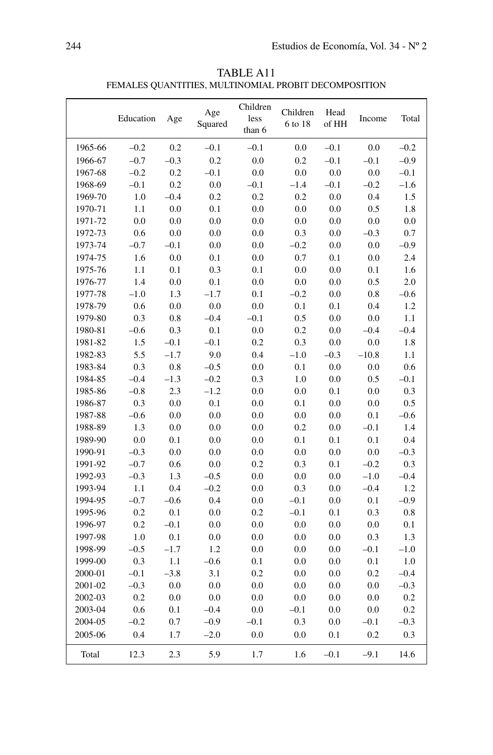| TABLE A11                                            |
|------------------------------------------------------|
| FEMALES QUANTITIES, MULTINOMIAL PROBIT DECOMPOSITION |

|         | Education | Age    | Age<br>Squared | Children<br>less<br>than 6 | Children<br>6 to 18 | Head<br>of HH | Income  | Total   |
|---------|-----------|--------|----------------|----------------------------|---------------------|---------------|---------|---------|
| 1965-66 | $-0.2$    | 0.2    | $-0.1$         | $-0.1$                     | 0.0                 | $-0.1$        | 0.0     | $-0.2$  |
| 1966-67 | $-0.7$    | $-0.3$ | 0.2            | 0.0                        | 0.2                 | $-0.1$        | $-0.1$  | $-0.9$  |
| 1967-68 | $-0.2$    | 0.2    | $-0.1$         | 0.0                        | 0.0                 | 0.0           | 0.0     | $-0.1$  |
| 1968-69 | $-0.1$    | 0.2    | 0.0            | $-0.1$                     | $-1.4$              | $-0.1$        | $-0.2$  | $-1.6$  |
| 1969-70 | 1.0       | $-0.4$ | 0.2            | 0.2                        | 0.2                 | 0.0           | 0.4     | 1.5     |
| 1970-71 | 1.1       | 0.0    | 0.1            | 0.0                        | 0.0                 | 0.0           | 0.5     | 1.8     |
| 1971-72 | 0.0       | 0.0    | 0.0            | 0.0                        | 0.0                 | 0.0           | 0.0     | $0.0\,$ |
| 1972-73 | 0.6       | 0.0    | 0.0            | 0.0                        | 0.3                 | 0.0           | $-0.3$  | 0.7     |
| 1973-74 | $-0.7$    | $-0.1$ | 0.0            | 0.0                        | $-0.2$              | 0.0           | 0.0     | $-0.9$  |
| 1974-75 | 1.6       | 0.0    | 0.1            | 0.0                        | 0.7                 | 0.1           | 0.0     | 2.4     |
| 1975-76 | 1.1       | 0.1    | 0.3            | 0.1                        | 0.0                 | 0.0           | 0.1     | 1.6     |
| 1976-77 | 1.4       | 0.0    | 0.1            | 0.0                        | 0.0                 | 0.0           | 0.5     | 2.0     |
| 1977-78 | $-1.0$    | 1.3    | $-1.7$         | 0.1                        | $-0.2$              | 0.0           | 0.8     | $-0.6$  |
| 1978-79 | 0.6       | 0.0    | 0.0            | 0.0                        | 0.1                 | 0.1           | 0.4     | 1.2     |
| 1979-80 | 0.3       | 0.8    | $-0.4$         | $-0.1$                     | 0.5                 | 0.0           | 0.0     | 1.1     |
| 1980-81 | $-0.6$    | 0.3    | 0.1            | 0.0                        | 0.2                 | 0.0           | $-0.4$  | $-0.4$  |
| 1981-82 | 1.5       | $-0.1$ | $-0.1$         | 0.2                        | 0.3                 | 0.0           | 0.0     | 1.8     |
| 1982-83 | 5.5       | $-1.7$ | 9.0            | 0.4                        | $-1.0$              | $-0.3$        | $-10.8$ | 1.1     |
| 1983-84 | 0.3       | 0.8    | $-0.5$         | 0.0                        | 0.1                 | 0.0           | 0.0     | 0.6     |
| 1984-85 | $-0.4$    | $-1.3$ | $-0.2$         | 0.3                        | 1.0                 | 0.0           | 0.5     | $-0.1$  |
| 1985-86 | $-0.8$    | 2.3    | $-1.2$         | 0.0                        | 0.0                 | 0.1           | 0.0     | 0.3     |
| 1986-87 | 0.3       | 0.0    | 0.1            | 0.0                        | 0.1                 | 0.0           | 0.0     | 0.5     |
| 1987-88 | $-0.6$    | 0.0    | 0.0            | 0.0                        | 0.0                 | 0.0           | 0.1     | $-0.6$  |
| 1988-89 | 1.3       | 0.0    | 0.0            | 0.0                        | 0.2                 | 0.0           | $-0.1$  | 1.4     |
| 1989-90 | 0.0       | 0.1    | 0.0            | 0.0                        | 0.1                 | 0.1           | 0.1     | 0.4     |
| 1990-91 | $-0.3$    | 0.0    | 0.0            | 0.0                        | 0.0                 | 0.0           | 0.0     | $-0.3$  |
| 1991-92 | $-0.7$    | 0.6    | 0.0            | 0.2                        | 0.3                 | 0.1           | $-0.2$  | 0.3     |
| 1992-93 | $-0.3$    | 1.3    | $-0.5$         | 0.0                        | 0.0                 | 0.0           | $-1.0$  | $-0.4$  |
| 1993-94 | 1.1       | 0.4    | $-0.2$         | 0.0                        | 0.3                 | 0.0           | $-0.4$  | 1.2     |
| 1994-95 | $-0.7$    | $-0.6$ | 0.4            | 0.0                        | $-0.1$              | 0.0           | 0.1     | $-0.9$  |
| 1995-96 | 0.2       | 0.1    | 0.0            | 0.2                        | $-0.1$              | 0.1           | 0.3     | 0.8     |
| 1996-97 | 0.2       | $-0.1$ | 0.0            | 0.0                        | 0.0                 | 0.0           | 0.0     | 0.1     |
| 1997-98 | 1.0       | 0.1    | 0.0            | 0.0                        | 0.0                 | 0.0           | 0.3     | 1.3     |
| 1998-99 | $-0.5$    | $-1.7$ | 1.2            | 0.0                        | 0.0                 | 0.0           | $-0.1$  | $-1.0$  |
| 1999-00 | 0.3       | 1.1    | $-0.6$         | 0.1                        | 0.0                 | 0.0           | 0.1     | 1.0     |
| 2000-01 | $-0.1$    | $-3.8$ | 3.1            | 0.2                        | 0.0                 | 0.0           | 0.2     | $-0.4$  |
| 2001-02 | $-0.3$    | 0.0    | 0.0            | 0.0                        | 0.0                 | 0.0           | 0.0     | $-0.3$  |
| 2002-03 | 0.2       | 0.0    | 0.0            | 0.0                        | 0.0                 | 0.0           | 0.0     | 0.2     |
| 2003-04 | 0.6       | 0.1    | $-0.4$         | 0.0                        | $-0.1$              | 0.0           | 0.0     | 0.2     |
| 2004-05 | $-0.2$    | 0.7    | $-0.9$         | $-0.1$                     | 0.3                 | 0.0           | $-0.1$  | $-0.3$  |
| 2005-06 | 0.4       | 1.7    | $-2.0$         | 0.0                        | 0.0                 | 0.1           | 0.2     | 0.3     |
| Total   | 12.3      | 2.3    | 5.9            | 1.7                        | 1.6                 | $-0.1$        | $-9.1$  | 14.6    |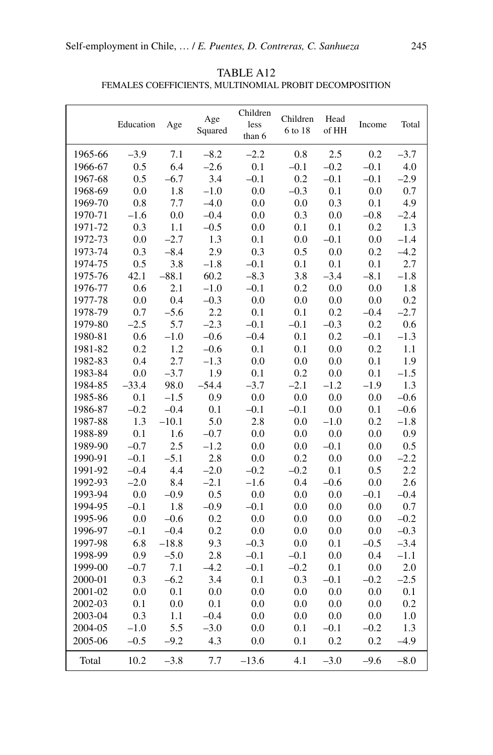|         | Education | Age     | Age<br>Squared | Children<br>less<br>than 6 | Children<br>6 to 18 | Head<br>of HH | Income  | Total   |
|---------|-----------|---------|----------------|----------------------------|---------------------|---------------|---------|---------|
| 1965-66 | $-3.9$    | 7.1     | $-8.2$         | $-2.2$                     | 0.8                 | 2.5           | 0.2     | $-3.7$  |
| 1966-67 | 0.5       | 6.4     | $-2.6$         | 0.1                        | $-0.1$              | $-0.2$        | $-0.1$  | 4.0     |
| 1967-68 | 0.5       | $-6.7$  | 3.4            | $-0.1$                     | 0.2                 | $-0.1$        | $-0.1$  | $-2.9$  |
| 1968-69 | 0.0       | 1.8     | $-1.0$         | 0.0                        | $-0.3$              | 0.1           | $0.0\,$ | 0.7     |
| 1969-70 | 0.8       | 7.7     | $-4.0$         | 0.0                        | 0.0                 | 0.3           | 0.1     | 4.9     |
| 1970-71 | $-1.6$    | 0.0     | $-0.4$         | 0.0                        | 0.3                 | 0.0           | $-0.8$  | $-2.4$  |
| 1971-72 | 0.3       | 1.1     | $-0.5$         | 0.0                        | 0.1                 | 0.1           | 0.2     | 1.3     |
| 1972-73 | 0.0       | $-2.7$  | 1.3            | 0.1                        | 0.0                 | $-0.1$        | $0.0\,$ | $-1.4$  |
| 1973-74 | 0.3       | $-8.4$  | 2.9            | 0.3                        | 0.5                 | 0.0           | 0.2     | $-4.2$  |
| 1974-75 | 0.5       | 3.8     | $-1.8$         | $-0.1$                     | 0.1                 | 0.1           | 0.1     | 2.7     |
| 1975-76 | 42.1      | $-88.1$ | 60.2           | $-8.3$                     | 3.8                 | $-3.4$        | $-8.1$  | $-1.8$  |
| 1976-77 | 0.6       | 2.1     | $-1.0$         | $-0.1$                     | 0.2                 | 0.0           | 0.0     | 1.8     |
| 1977-78 | 0.0       | 0.4     | $-0.3$         | 0.0                        | 0.0                 | $0.0\,$       | 0.0     | 0.2     |
| 1978-79 | 0.7       | $-5.6$  | 2.2            | 0.1                        | 0.1                 | 0.2           | $-0.4$  | $-2.7$  |
| 1979-80 | $-2.5$    | 5.7     | $-2.3$         | $-0.1$                     | $-0.1$              | $-0.3$        | 0.2     | 0.6     |
| 1980-81 | 0.6       | $-1.0$  | $-0.6$         | $-0.4$                     | 0.1                 | 0.2           | $-0.1$  | $-1.3$  |
| 1981-82 | 0.2       | 1.2     | $-0.6$         | 0.1                        | 0.1                 | 0.0           | 0.2     | 1.1     |
| 1982-83 | 0.4       | 2.7     | $-1.3$         | 0.0                        | 0.0                 | 0.0           | 0.1     | 1.9     |
| 1983-84 | 0.0       | $-3.7$  | 1.9            | 0.1                        | 0.2                 | 0.0           | 0.1     | $-1.5$  |
| 1984-85 | $-33.4$   | 98.0    | $-54.4$        | $-3.7$                     | $-2.1$              | $-1.2$        | $-1.9$  | 1.3     |
| 1985-86 | 0.1       | $-1.5$  | 0.9            | 0.0                        | 0.0                 | 0.0           | 0.0     | $-0.6$  |
| 1986-87 | $-0.2$    | $-0.4$  | 0.1            | $-0.1$                     | $-0.1$              | 0.0           | 0.1     | $-0.6$  |
| 1987-88 | 1.3       | $-10.1$ | 5.0            | 2.8                        | 0.0                 | $-1.0$        | 0.2     | $-1.8$  |
| 1988-89 | 0.1       | 1.6     | $-0.7$         | 0.0                        | 0.0                 | 0.0           | 0.0     | 0.9     |
| 1989-90 | $-0.7$    | 2.5     | $-1.2$         | 0.0                        | 0.0                 | $-0.1$        | 0.0     | 0.5     |
| 1990-91 | $-0.1$    | $-5.1$  | 2.8            | 0.0                        | 0.2                 | 0.0           | 0.0     | $-2.2$  |
| 1991-92 | $-0.4$    | 4.4     | $-2.0$         | $-0.2$                     | $-0.2$              | 0.1           | 0.5     | 2.2     |
| 1992-93 | $-2.0$    | 8.4     | $-2.1$         | $-1.6$                     | 0.4                 | $-0.6$        | 0.0     | 2.6     |
| 1993-94 | 0.0       | $-0.9$  | 0.5            | 0.0                        | 0.0                 | 0.0           | $-0.1$  | $-0.4$  |
| 1994-95 | $-0.1$    | 1.8     | $-0.9$         | $-0.1$                     | 0.0                 | 0.0           | 0.0     | 0.7     |
| 1995-96 | 0.0       | $-0.6$  | 0.2            | 0.0                        | 0.0                 | 0.0           | 0.0     | $-0.2$  |
| 1996-97 | $-0.1$    | $-0.4$  | 0.2            | 0.0                        | 0.0                 | 0.0           | 0.0     | $-0.3$  |
| 1997-98 | 6.8       | $-18.8$ | 9.3            | $-0.3$                     | 0.0                 | 0.1           | $-0.5$  | $-3.4$  |
| 1998-99 | 0.9       | $-5.0$  | 2.8            | $-0.1$                     | $-0.1$              | 0.0           | 0.4     | $-1.1$  |
| 1999-00 | $-0.7$    | 7.1     | $-4.2$         | $-0.1$                     | $-0.2$              | 0.1           | 0.0     | $2.0\,$ |
| 2000-01 | 0.3       | $-6.2$  | 3.4            | 0.1                        | 0.3                 | $-0.1$        | $-0.2$  | $-2.5$  |
| 2001-02 | 0.0       | 0.1     | 0.0            | 0.0                        | 0.0                 | 0.0           | 0.0     | 0.1     |
| 2002-03 | 0.1       | 0.0     | 0.1            | 0.0                        | $0.0\,$             | 0.0           | 0.0     | 0.2     |
| 2003-04 | 0.3       | 1.1     | $-0.4$         | 0.0                        | 0.0                 | 0.0           | 0.0     | 1.0     |
| 2004-05 | $-1.0$    | 5.5     | $-3.0$         | 0.0                        | 0.1                 | $-0.1$        | $-0.2$  | 1.3     |
| 2005-06 | $-0.5$    | $-9.2$  | 4.3            | 0.0                        | 0.1                 | 0.2           | 0.2     | $-4.9$  |
| Total   | 10.2      | $-3.8$  | 7.7            | $-13.6$                    | 4.1                 | $-3.0$        | $-9.6$  | $-8.0$  |

TABLE A12 Females Coefficients, Multinomial Probit Decomposition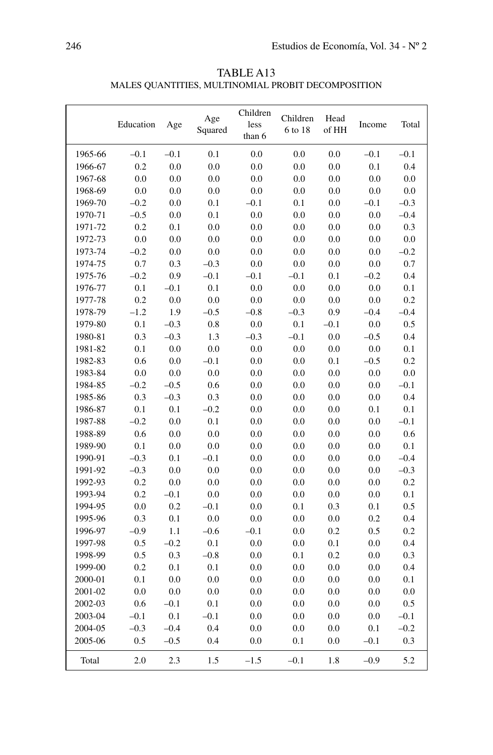| TABLE A13                                          |
|----------------------------------------------------|
| MALES QUANTITIES, MULTINOMIAL PROBIT DECOMPOSITION |

|         | Education | Age    | Age<br>Squared | Children<br>less<br>than 6 | Children<br>6 to 18 | Head<br>of HH | Income  | Total  |
|---------|-----------|--------|----------------|----------------------------|---------------------|---------------|---------|--------|
| 1965-66 | $-0.1$    | $-0.1$ | 0.1            | 0.0                        | 0.0                 | 0.0           | $-0.1$  | $-0.1$ |
| 1966-67 | 0.2       | 0.0    | 0.0            | 0.0                        | 0.0                 | 0.0           | 0.1     | 0.4    |
| 1967-68 | 0.0       | 0.0    | 0.0            | 0.0                        | 0.0                 | $0.0\,$       | 0.0     | 0.0    |
| 1968-69 | 0.0       | 0.0    | 0.0            | 0.0                        | 0.0                 | 0.0           | 0.0     | 0.0    |
| 1969-70 | $-0.2$    | 0.0    | 0.1            | $-0.1$                     | 0.1                 | 0.0           | $-0.1$  | $-0.3$ |
| 1970-71 | $-0.5$    | 0.0    | 0.1            | 0.0                        | 0.0                 | $0.0\,$       | 0.0     | $-0.4$ |
| 1971-72 | 0.2       | 0.1    | 0.0            | 0.0                        | 0.0                 | 0.0           | 0.0     | 0.3    |
| 1972-73 | 0.0       | 0.0    | 0.0            | 0.0                        | 0.0                 | 0.0           | 0.0     | 0.0    |
| 1973-74 | $-0.2$    | 0.0    | 0.0            | 0.0                        | 0.0                 | 0.0           | 0.0     | $-0.2$ |
| 1974-75 | 0.7       | 0.3    | $-0.3$         | 0.0                        | 0.0                 | 0.0           | 0.0     | 0.7    |
| 1975-76 | $-0.2$    | 0.9    | $-0.1$         | $-0.1$                     | $-0.1$              | 0.1           | $-0.2$  | 0.4    |
| 1976-77 | 0.1       | $-0.1$ | 0.1            | $0.0\,$                    | 0.0                 | 0.0           | 0.0     | 0.1    |
| 1977-78 | 0.2       | 0.0    | 0.0            | 0.0                        | 0.0                 | 0.0           | 0.0     | 0.2    |
| 1978-79 | $-1.2$    | 1.9    | $-0.5$         | $-0.8$                     | $-0.3$              | 0.9           | $-0.4$  | $-0.4$ |
| 1979-80 | 0.1       | $-0.3$ | 0.8            | 0.0                        | 0.1                 | $-0.1$        | 0.0     | 0.5    |
| 1980-81 | 0.3       | $-0.3$ | 1.3            | $-0.3$                     | $-0.1$              | 0.0           | $-0.5$  | 0.4    |
| 1981-82 | 0.1       | 0.0    | 0.0            | $0.0\,$                    | 0.0                 | $0.0\,$       | $0.0\,$ | 0.1    |
| 1982-83 | 0.6       | 0.0    | $-0.1$         | $0.0\,$                    | 0.0                 | 0.1           | $-0.5$  | 0.2    |
| 1983-84 | 0.0       | 0.0    | 0.0            | 0.0                        | 0.0                 | 0.0           | 0.0     | 0.0    |
| 1984-85 | $-0.2$    | $-0.5$ | 0.6            | 0.0                        | 0.0                 | 0.0           | 0.0     | $-0.1$ |
| 1985-86 | 0.3       | $-0.3$ | 0.3            | 0.0                        | 0.0                 | 0.0           | 0.0     | 0.4    |
| 1986-87 | 0.1       | 0.1    | $-0.2$         | 0.0                        | 0.0                 | 0.0           | 0.1     | 0.1    |
| 1987-88 | $-0.2$    | 0.0    | 0.1            | $0.0\,$                    | 0.0                 | $0.0\,$       | 0.0     | $-0.1$ |
| 1988-89 | 0.6       | 0.0    | 0.0            | 0.0                        | 0.0                 | 0.0           | 0.0     | 0.6    |
| 1989-90 | 0.1       | 0.0    | 0.0            | 0.0                        | 0.0                 | 0.0           | 0.0     | 0.1    |
| 1990-91 | $-0.3$    | 0.1    | $-0.1$         | 0.0                        | 0.0                 | 0.0           | 0.0     | $-0.4$ |
| 1991-92 | $-0.3$    | 0.0    | 0.0            | 0.0                        | 0.0                 | 0.0           | 0.0     | $-0.3$ |
| 1992-93 | 0.2       | 0.0    | 0.0            | 0.0                        | 0.0                 | 0.0           | 0.0     | 0.2    |
| 1993-94 | 0.2       | $-0.1$ | 0.0            | 0.0                        | 0.0                 | $0.0\,$       | 0.0     | 0.1    |
| 1994-95 | 0.0       | 0.2    | $-0.1$         | 0.0                        | 0.1                 | 0.3           | 0.1     | 0.5    |
| 1995-96 | 0.3       | 0.1    | 0.0            | 0.0                        | 0.0                 | 0.0           | 0.2     | 0.4    |
| 1996-97 | $-0.9$    | 1.1    | $-0.6$         | $-0.1$                     | 0.0                 | 0.2           | 0.5     | 0.2    |
| 1997-98 | 0.5       | $-0.2$ | 0.1            | 0.0                        | 0.0                 | 0.1           | 0.0     | 0.4    |
| 1998-99 | 0.5       | 0.3    | $-0.8$         | 0.0                        | 0.1                 | 0.2           | 0.0     | 0.3    |
| 1999-00 | 0.2       | 0.1    | 0.1            | 0.0                        | 0.0                 | 0.0           | 0.0     | 0.4    |
| 2000-01 | 0.1       | 0.0    | 0.0            | 0.0                        | 0.0                 | 0.0           | 0.0     | 0.1    |
| 2001-02 | 0.0       | 0.0    | 0.0            | 0.0                        | 0.0                 | 0.0           | 0.0     | 0.0    |
| 2002-03 | 0.6       | $-0.1$ | 0.1            | 0.0                        | 0.0                 | 0.0           | 0.0     | 0.5    |
| 2003-04 | $-0.1$    | 0.1    | $-0.1$         | 0.0                        | 0.0                 | 0.0           | 0.0     | $-0.1$ |
| 2004-05 | $-0.3$    | $-0.4$ | 0.4            | 0.0                        | 0.0                 | 0.0           | 0.1     | $-0.2$ |
| 2005-06 | 0.5       | $-0.5$ | 0.4            | 0.0                        | 0.1                 | 0.0           | $-0.1$  | 0.3    |
| Total   | 2.0       | 2.3    | 1.5            | $-1.5$                     | $-0.1$              | 1.8           | $-0.9$  | 5.2    |